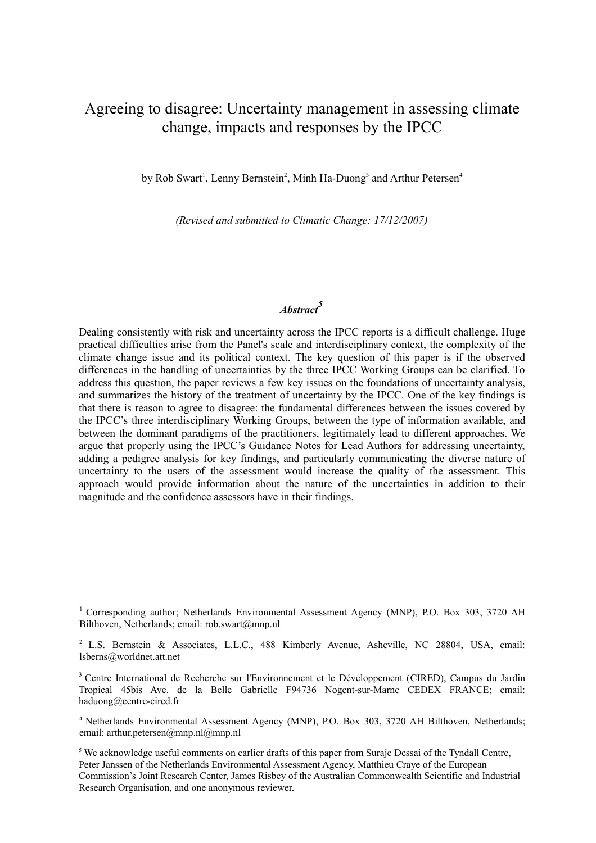# Agreeing to disagree: Uncertainty management in assessing climate change, impacts and responses by the IPCC

by Rob Swart<sup>[1](#page-0-0)</sup>, Lenny Bernstein<sup>[2](#page-0-1)</sup>, Minh Ha-Duong<sup>[3](#page-0-2)</sup> and Arthur Petersen<sup>[4](#page-0-3)</sup>

*(Revised and submitted to Climatic Change: 17/12/2007)*

# *Abstract [5](#page-0-4)*

Dealing consistently with risk and uncertainty across the IPCC reports is a difficult challenge. Huge practical difficulties arise from the Panel's scale and interdisciplinary context, the complexity of the climate change issue and its political context. The key question of this paper is if the observed differences in the handling of uncertainties by the three IPCC Working Groups can be clarified. To address this question, the paper reviews a few key issues on the foundations of uncertainty analysis, and summarizes the history of the treatment of uncertainty by the IPCC. One of the key findings is that there is reason to agree to disagree: the fundamental differences between the issues covered by the IPCC's three interdisciplinary Working Groups, between the type of information available, and between the dominant paradigms of the practitioners, legitimately lead to different approaches. We argue that properly using the IPCC's Guidance Notes for Lead Authors for addressing uncertainty, adding a pedigree analysis for key findings, and particularly communicating the diverse nature of uncertainty to the users of the assessment would increase the quality of the assessment. This approach would provide information about the nature of the uncertainties in addition to their magnitude and the confidence assessors have in their findings.

<span id="page-0-0"></span><sup>&</sup>lt;sup>1</sup> Corresponding author; Netherlands Environmental Assessment Agency (MNP), P.O. Box 303, 3720 AH Bilthoven, Netherlands; email: rob.swart@mnp.nl

<span id="page-0-1"></span><sup>2</sup> L.S. Bernstein & Associates, L.L.C., 488 Kimberly Avenue, Asheville, NC 28804, USA, email: lsberns@worldnet.att.net

<span id="page-0-2"></span><sup>3</sup> Centre International de Recherche sur l'Environnement et le Développement (CIRED), Campus du Jardin Tropical 45bis Ave. de la Belle Gabrielle F94736 Nogent-sur-Marne CEDEX FRANCE; email: haduong@centre-cired.fr

<span id="page-0-3"></span><sup>4</sup> Netherlands Environmental Assessment Agency (MNP), P.O. Box 303, 3720 AH Bilthoven, Netherlands; email: arthur.petersen@mnp.nl@mnp.nl

<span id="page-0-4"></span><sup>&</sup>lt;sup>5</sup> We acknowledge useful comments on earlier drafts of this paper from Suraje Dessai of the Tyndall Centre, Peter Janssen of the Netherlands Environmental Assessment Agency, Matthieu Craye of the European Commission's Joint Research Center, James Risbey of the Australian Commonwealth Scientific and Industrial Research Organisation, and one anonymous reviewer.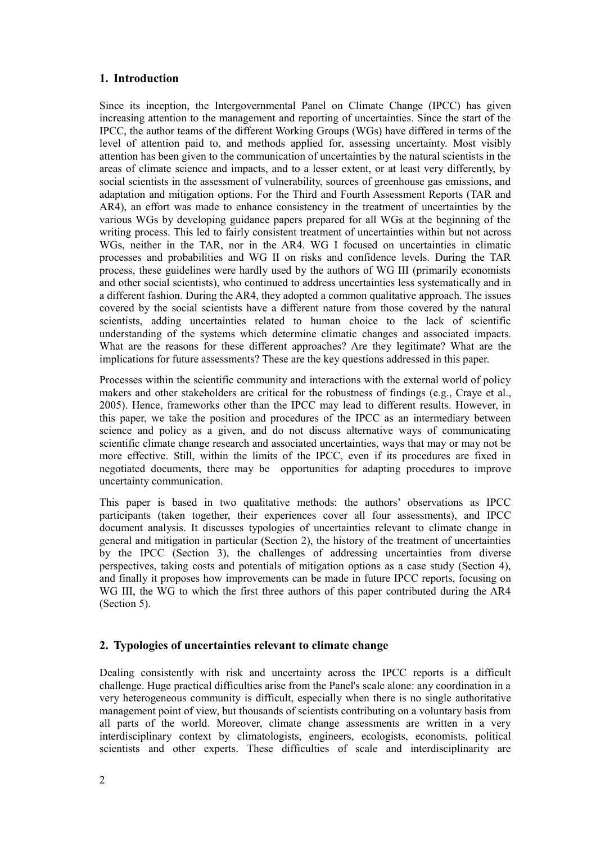# **1. Introduction**

Since its inception, the Intergovernmental Panel on Climate Change (IPCC) has given increasing attention to the management and reporting of uncertainties. Since the start of the IPCC, the author teams of the different Working Groups (WGs) have differed in terms of the level of attention paid to, and methods applied for, assessing uncertainty. Most visibly attention has been given to the communication of uncertainties by the natural scientists in the areas of climate science and impacts, and to a lesser extent, or at least very differently, by social scientists in the assessment of vulnerability, sources of greenhouse gas emissions, and adaptation and mitigation options. For the Third and Fourth Assessment Reports (TAR and AR4), an effort was made to enhance consistency in the treatment of uncertainties by the various WGs by developing guidance papers prepared for all WGs at the beginning of the writing process. This led to fairly consistent treatment of uncertainties within but not across WGs, neither in the TAR, nor in the AR4. WG I focused on uncertainties in climatic processes and probabilities and WG II on risks and confidence levels. During the TAR process, these guidelines were hardly used by the authors of WG III (primarily economists and other social scientists), who continued to address uncertainties less systematically and in a different fashion. During the AR4, they adopted a common qualitative approach. The issues covered by the social scientists have a different nature from those covered by the natural scientists, adding uncertainties related to human choice to the lack of scientific understanding of the systems which determine climatic changes and associated impacts. What are the reasons for these different approaches? Are they legitimate? What are the implications for future assessments? These are the key questions addressed in this paper.

Processes within the scientific community and interactions with the external world of policy makers and other stakeholders are critical for the robustness of findings (e.g., Craye et al., 2005). Hence, frameworks other than the IPCC may lead to different results. However, in this paper, we take the position and procedures of the IPCC as an intermediary between science and policy as a given, and do not discuss alternative ways of communicating scientific climate change research and associated uncertainties, ways that may or may not be more effective. Still, within the limits of the IPCC, even if its procedures are fixed in negotiated documents, there may be opportunities for adapting procedures to improve uncertainty communication.

This paper is based in two qualitative methods: the authors' observations as IPCC participants (taken together, their experiences cover all four assessments), and IPCC document analysis. It discusses typologies of uncertainties relevant to climate change in general and mitigation in particular (Section 2), the history of the treatment of uncertainties by the IPCC (Section 3), the challenges of addressing uncertainties from diverse perspectives, taking costs and potentials of mitigation options as a case study (Section 4), and finally it proposes how improvements can be made in future IPCC reports, focusing on WG III, the WG to which the first three authors of this paper contributed during the AR4 (Section 5).

# **2. Typologies of uncertainties relevant to climate change**

Dealing consistently with risk and uncertainty across the IPCC reports is a difficult challenge. Huge practical difficulties arise from the Panel's scale alone: any coordination in a very heterogeneous community is difficult, especially when there is no single authoritative management point of view, but thousands of scientists contributing on a voluntary basis from all parts of the world. Moreover, climate change assessments are written in a very interdisciplinary context by climatologists, engineers, ecologists, economists, political scientists and other experts. These difficulties of scale and interdisciplinarity are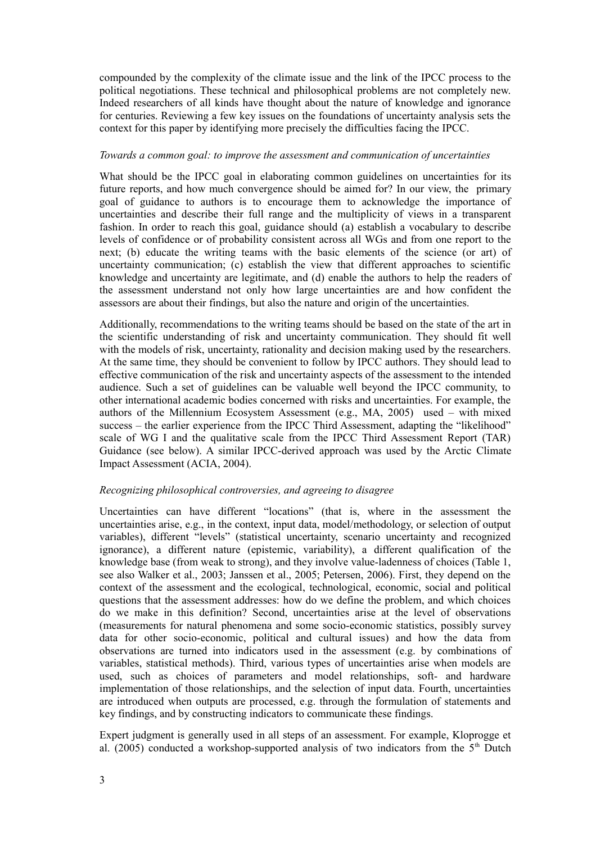compounded by the complexity of the climate issue and the link of the IPCC process to the political negotiations. These technical and philosophical problems are not completely new. Indeed researchers of all kinds have thought about the nature of knowledge and ignorance for centuries. Reviewing a few key issues on the foundations of uncertainty analysis sets the context for this paper by identifying more precisely the difficulties facing the IPCC.

#### *Towards a common goal: to improve the assessment and communication of uncertainties*

What should be the IPCC goal in elaborating common guidelines on uncertainties for its future reports, and how much convergence should be aimed for? In our view, the primary goal of guidance to authors is to encourage them to acknowledge the importance of uncertainties and describe their full range and the multiplicity of views in a transparent fashion. In order to reach this goal, guidance should (a) establish a vocabulary to describe levels of confidence or of probability consistent across all WGs and from one report to the next; (b) educate the writing teams with the basic elements of the science (or art) of uncertainty communication; (c) establish the view that different approaches to scientific knowledge and uncertainty are legitimate, and (d) enable the authors to help the readers of the assessment understand not only how large uncertainties are and how confident the assessors are about their findings, but also the nature and origin of the uncertainties.

Additionally, recommendations to the writing teams should be based on the state of the art in the scientific understanding of risk and uncertainty communication. They should fit well with the models of risk, uncertainty, rationality and decision making used by the researchers. At the same time, they should be convenient to follow by IPCC authors. They should lead to effective communication of the risk and uncertainty aspects of the assessment to the intended audience. Such a set of guidelines can be valuable well beyond the IPCC community, to other international academic bodies concerned with risks and uncertainties. For example, the authors of the Millennium Ecosystem Assessment (e.g., MA, 2005) used – with mixed success – the earlier experience from the IPCC Third Assessment, adapting the "likelihood" scale of WG I and the qualitative scale from the IPCC Third Assessment Report (TAR) Guidance (see below). A similar IPCC-derived approach was used by the Arctic Climate Impact Assessment (ACIA, 2004).

### *Recognizing philosophical controversies, and agreeing to disagree*

Uncertainties can have different "locations" (that is, where in the assessment the uncertainties arise, e.g., in the context, input data, model/methodology, or selection of output variables), different "levels" (statistical uncertainty, scenario uncertainty and recognized ignorance), a different nature (epistemic, variability), a different qualification of the knowledge base (from weak to strong), and they involve value-ladenness of choices (Table 1, see also Walker et al., 2003; Janssen et al., 2005; Petersen, 2006). First, they depend on the context of the assessment and the ecological, technological, economic, social and political questions that the assessment addresses: how do we define the problem, and which choices do we make in this definition? Second, uncertainties arise at the level of observations (measurements for natural phenomena and some socio-economic statistics, possibly survey data for other socio-economic, political and cultural issues) and how the data from observations are turned into indicators used in the assessment (e.g. by combinations of variables, statistical methods). Third, various types of uncertainties arise when models are used, such as choices of parameters and model relationships, soft- and hardware implementation of those relationships, and the selection of input data. Fourth, uncertainties are introduced when outputs are processed, e.g. through the formulation of statements and key findings, and by constructing indicators to communicate these findings.

Expert judgment is generally used in all steps of an assessment. For example, Kloprogge et al. (2005) conducted a workshop-supported analysis of two indicators from the  $5<sup>th</sup>$  Dutch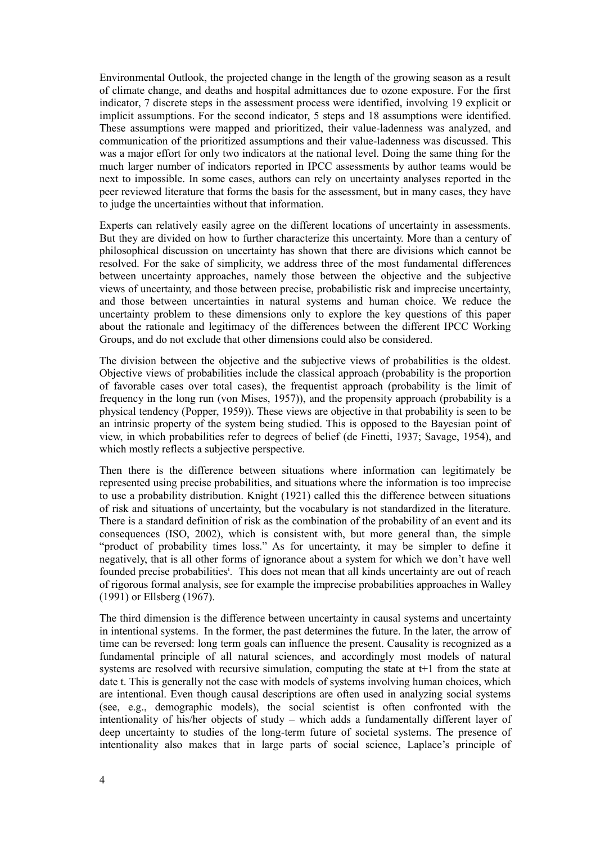Environmental Outlook, the projected change in the length of the growing season as a result of climate change, and deaths and hospital admittances due to ozone exposure. For the first indicator, 7 discrete steps in the assessment process were identified, involving 19 explicit or implicit assumptions. For the second indicator, 5 steps and 18 assumptions were identified. These assumptions were mapped and prioritized, their value-ladenness was analyzed, and communication of the prioritized assumptions and their value-ladenness was discussed. This was a major effort for only two indicators at the national level. Doing the same thing for the much larger number of indicators reported in IPCC assessments by author teams would be next to impossible. In some cases, authors can rely on uncertainty analyses reported in the peer reviewed literature that forms the basis for the assessment, but in many cases, they have to judge the uncertainties without that information.

Experts can relatively easily agree on the different locations of uncertainty in assessments. But they are divided on how to further characterize this uncertainty. More than a century of philosophical discussion on uncertainty has shown that there are divisions which cannot be resolved. For the sake of simplicity, we address three of the most fundamental differences between uncertainty approaches, namely those between the objective and the subjective views of uncertainty, and those between precise, probabilistic risk and imprecise uncertainty, and those between uncertainties in natural systems and human choice. We reduce the uncertainty problem to these dimensions only to explore the key questions of this paper about the rationale and legitimacy of the differences between the different IPCC Working Groups, and do not exclude that other dimensions could also be considered.

The division between the objective and the subjective views of probabilities is the oldest. Objective views of probabilities include the classical approach (probability is the proportion of favorable cases over total cases), the frequentist approach (probability is the limit of frequency in the long run (von Mises, 1957)), and the propensity approach (probability is a physical tendency (Popper, 1959)). These views are objective in that probability is seen to be an intrinsic property of the system being studied. This is opposed to the Bayesian point of view, in which probabilities refer to degrees of belief (de Finetti, 1937; Savage, 1954), and which mostly reflects a subjective perspective.

Then there is the difference between situations where information can legitimately be represented using precise probabilities, and situations where the information is too imprecise to use a probability distribution. Knight (1921) called this the difference between situations of risk and situations of uncertainty, but the vocabulary is not standardized in the literature. There is a standard definition of risk as the combination of the probability of an event and its consequences (ISO, 2002), which is consistent with, but more general than, the simple "product of probability times loss." As for uncertainty, it may be simpler to define it negatively, that is all other forms of ignorance about a system for which we don't have well founded prec[i](#page-26-0)se probabilities<sup>i</sup>. This does not mean that all kinds uncertainty are out of reach of rigorous formal analysis, see for example the imprecise probabilities approaches in Walley (1991) or Ellsberg (1967).

The third dimension is the difference between uncertainty in causal systems and uncertainty in intentional systems. In the former, the past determines the future. In the later, the arrow of time can be reversed: long term goals can influence the present. Causality is recognized as a fundamental principle of all natural sciences, and accordingly most models of natural systems are resolved with recursive simulation, computing the state at t+1 from the state at date t. This is generally not the case with models of systems involving human choices, which are intentional. Even though causal descriptions are often used in analyzing social systems (see, e.g., demographic models), the social scientist is often confronted with the intentionality of his/her objects of study – which adds a fundamentally different layer of deep uncertainty to studies of the long-term future of societal systems. The presence of intentionality also makes that in large parts of social science, Laplace's principle of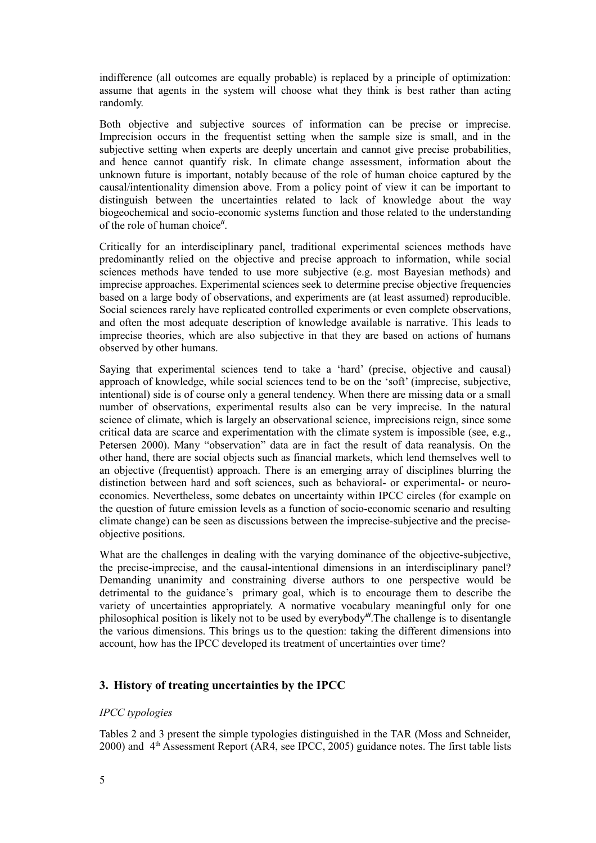indifference (all outcomes are equally probable) is replaced by a principle of optimization: assume that agents in the system will choose what they think is best rather than acting randomly.

Both objective and subjective sources of information can be precise or imprecise. Imprecision occurs in the frequentist setting when the sample size is small, and in the subjective setting when experts are deeply uncertain and cannot give precise probabilities, and hence cannot quantify risk. In climate change assessment, information about the unknown future is important, notably because of the role of human choice captured by the causal/intentionality dimension above. From a policy point of view it can be important to distinguish between the uncertainties related to lack of knowledge about the way biogeochemical and socio-economic systems function and those related to the understanding of the role of human choice*[ii](#page-26-1)* .

Critically for an interdisciplinary panel, traditional experimental sciences methods have predominantly relied on the objective and precise approach to information, while social sciences methods have tended to use more subjective (e.g. most Bayesian methods) and imprecise approaches. Experimental sciences seek to determine precise objective frequencies based on a large body of observations, and experiments are (at least assumed) reproducible. Social sciences rarely have replicated controlled experiments or even complete observations, and often the most adequate description of knowledge available is narrative. This leads to imprecise theories, which are also subjective in that they are based on actions of humans observed by other humans.

Saying that experimental sciences tend to take a 'hard' (precise, objective and causal) approach of knowledge, while social sciences tend to be on the 'soft' (imprecise, subjective, intentional) side is of course only a general tendency. When there are missing data or a small number of observations, experimental results also can be very imprecise. In the natural science of climate, which is largely an observational science, imprecisions reign, since some critical data are scarce and experimentation with the climate system is impossible (see, e.g., Petersen 2000). Many "observation" data are in fact the result of data reanalysis. On the other hand, there are social objects such as financial markets, which lend themselves well to an objective (frequentist) approach. There is an emerging array of disciplines blurring the distinction between hard and soft sciences, such as behavioral- or experimental- or neuroeconomics. Nevertheless, some debates on uncertainty within IPCC circles (for example on the question of future emission levels as a function of socio-economic scenario and resulting climate change) can be seen as discussions between the imprecise-subjective and the preciseobjective positions.

What are the challenges in dealing with the varying dominance of the objective-subjective, the precise-imprecise, and the causal-intentional dimensions in an interdisciplinary panel? Demanding unanimity and constraining diverse authors to one perspective would be detrimental to the guidance's primary goal, which is to encourage them to describe the variety of uncertainties appropriately. A normative vocabulary meaningful only for one philosophical position is likely not to be used by everybody<sup>ii'</sup>. The challenge is to disentangle the various dimensions. This brings us to the question: taking the different dimensions into account, how has the IPCC developed its treatment of uncertainties over time?

# **3. History of treating uncertainties by the IPCC**

### *IPCC typologies*

Tables 2 and 3 present the simple typologies distinguished in the TAR (Moss and Schneider, 2000) and 4th Assessment Report (AR4, see IPCC, 2005) guidance notes. The first table lists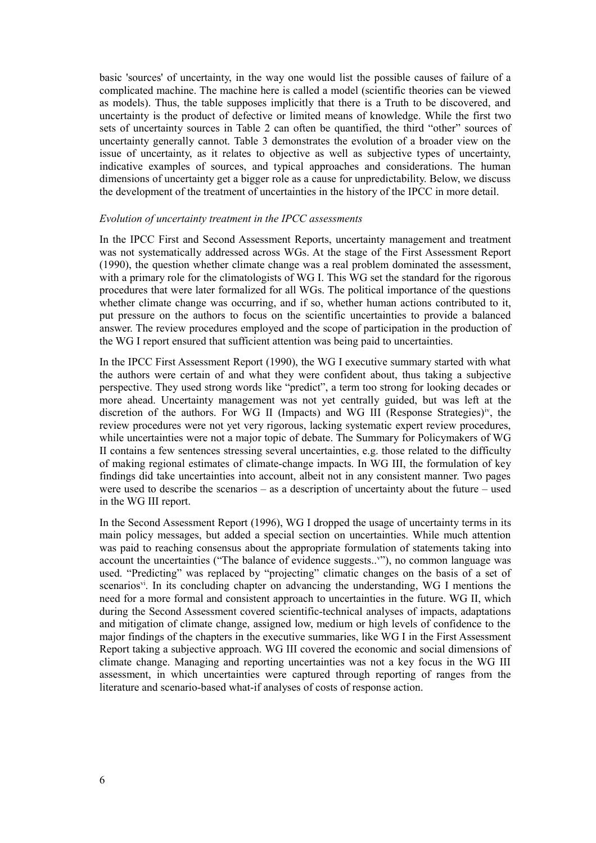basic 'sources' of uncertainty, in the way one would list the possible causes of failure of a complicated machine. The machine here is called a model (scientific theories can be viewed as models). Thus, the table supposes implicitly that there is a Truth to be discovered, and uncertainty is the product of defective or limited means of knowledge. While the first two sets of uncertainty sources in Table 2 can often be quantified, the third "other" sources of uncertainty generally cannot. Table 3 demonstrates the evolution of a broader view on the issue of uncertainty, as it relates to objective as well as subjective types of uncertainty, indicative examples of sources, and typical approaches and considerations. The human dimensions of uncertainty get a bigger role as a cause for unpredictability. Below, we discuss the development of the treatment of uncertainties in the history of the IPCC in more detail.

#### *Evolution of uncertainty treatment in the IPCC assessments*

In the IPCC First and Second Assessment Reports, uncertainty management and treatment was not systematically addressed across WGs. At the stage of the First Assessment Report (1990), the question whether climate change was a real problem dominated the assessment, with a primary role for the climatologists of WG I. This WG set the standard for the rigorous procedures that were later formalized for all WGs. The political importance of the questions whether climate change was occurring, and if so, whether human actions contributed to it. put pressure on the authors to focus on the scientific uncertainties to provide a balanced answer. The review procedures employed and the scope of participation in the production of the WG I report ensured that sufficient attention was being paid to uncertainties.

In the IPCC First Assessment Report (1990), the WG I executive summary started with what the authors were certain of and what they were confident about, thus taking a subjective perspective. They used strong words like "predict", a term too strong for looking decades or more ahead. Uncertainty management was not yet centrally guided, but was left at the discretion of the authors. For WG II (Impacts) and WG III (Response Strategies)<sup>[iv](#page-26-3)</sup>, the review procedures were not yet very rigorous, lacking systematic expert review procedures, while uncertainties were not a major topic of debate. The Summary for Policymakers of WG II contains a few sentences stressing several uncertainties, e.g. those related to the difficulty of making regional estimates of climate-change impacts. In WG III, the formulation of key findings did take uncertainties into account, albeit not in any consistent manner. Two pages were used to describe the scenarios – as a description of uncertainty about the future – used in the WG III report.

In the Second Assessment Report (1996), WG I dropped the usage of uncertainty terms in its main policy messages, but added a special section on uncertainties. While much attention was paid to reaching consensus about the appropriate formulation of statements taking into account the uncertainties ("The balance of e[v](#page-26-4)idence suggests..""), no common language was used. "Predicting" was replaced by "projecting" climatic changes on the basis of a set of scenarios<sup>[vi](#page-26-5)</sup>. In its concluding chapter on advancing the understanding, WG I mentions the need for a more formal and consistent approach to uncertainties in the future. WG II, which during the Second Assessment covered scientific-technical analyses of impacts, adaptations and mitigation of climate change, assigned low, medium or high levels of confidence to the major findings of the chapters in the executive summaries, like WG I in the First Assessment Report taking a subjective approach. WG III covered the economic and social dimensions of climate change. Managing and reporting uncertainties was not a key focus in the WG III assessment, in which uncertainties were captured through reporting of ranges from the literature and scenario-based what-if analyses of costs of response action.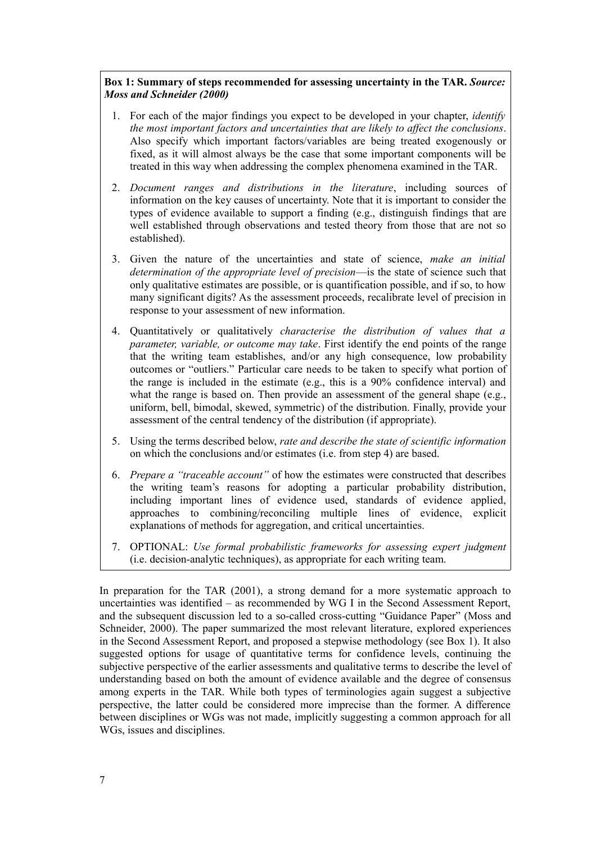**Box 1: Summary of steps recommended for assessing uncertainty in the TAR.** *Source: Moss and Schneider (2000)*

- 1. For each of the major findings you expect to be developed in your chapter, *identify the most important factors and uncertainties that are likely to affect the conclusions*. Also specify which important factors/variables are being treated exogenously or fixed, as it will almost always be the case that some important components will be treated in this way when addressing the complex phenomena examined in the TAR.
- 2. *Document ranges and distributions in the literature*, including sources of information on the key causes of uncertainty. Note that it is important to consider the types of evidence available to support a finding (e.g., distinguish findings that are well established through observations and tested theory from those that are not so established).
- 3. Given the nature of the uncertainties and state of science, *make an initial determination of the appropriate level of precision*—is the state of science such that only qualitative estimates are possible, or is quantification possible, and if so, to how many significant digits? As the assessment proceeds, recalibrate level of precision in response to your assessment of new information.
- 4. Quantitatively or qualitatively *characterise the distribution of values that a parameter, variable, or outcome may take*. First identify the end points of the range that the writing team establishes, and/or any high consequence, low probability outcomes or "outliers." Particular care needs to be taken to specify what portion of the range is included in the estimate (e.g., this is a 90% confidence interval) and what the range is based on. Then provide an assessment of the general shape (e.g., uniform, bell, bimodal, skewed, symmetric) of the distribution. Finally, provide your assessment of the central tendency of the distribution (if appropriate).
- 5. Using the terms described below, *rate and describe the state of scientific information* on which the conclusions and/or estimates (i.e. from step 4) are based.
- 6. *Prepare a "traceable account"* of how the estimates were constructed that describes the writing team's reasons for adopting a particular probability distribution, including important lines of evidence used, standards of evidence applied, approaches to combining/reconciling multiple lines of evidence, explicit explanations of methods for aggregation, and critical uncertainties.
- 7. OPTIONAL: *Use formal probabilistic frameworks for assessing expert judgment* (i.e. decision-analytic techniques), as appropriate for each writing team.

In preparation for the TAR (2001), a strong demand for a more systematic approach to uncertainties was identified – as recommended by WG I in the Second Assessment Report, and the subsequent discussion led to a so-called cross-cutting "Guidance Paper" (Moss and Schneider, 2000). The paper summarized the most relevant literature, explored experiences in the Second Assessment Report, and proposed a stepwise methodology (see Box 1). It also suggested options for usage of quantitative terms for confidence levels, continuing the subjective perspective of the earlier assessments and qualitative terms to describe the level of understanding based on both the amount of evidence available and the degree of consensus among experts in the TAR. While both types of terminologies again suggest a subjective perspective, the latter could be considered more imprecise than the former. A difference between disciplines or WGs was not made, implicitly suggesting a common approach for all WGs, issues and disciplines.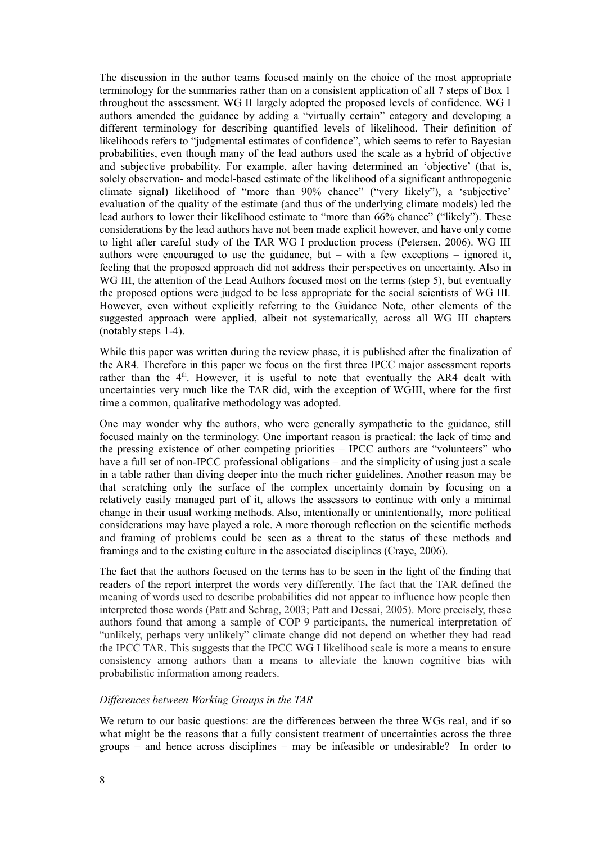The discussion in the author teams focused mainly on the choice of the most appropriate terminology for the summaries rather than on a consistent application of all 7 steps of Box 1 throughout the assessment. WG II largely adopted the proposed levels of confidence. WG I authors amended the guidance by adding a "virtually certain" category and developing a different terminology for describing quantified levels of likelihood. Their definition of likelihoods refers to "judgmental estimates of confidence", which seems to refer to Bayesian probabilities, even though many of the lead authors used the scale as a hybrid of objective and subjective probability. For example, after having determined an 'objective' (that is, solely observation- and model-based estimate of the likelihood of a significant anthropogenic climate signal) likelihood of "more than 90% chance" ("very likely"), a 'subjective' evaluation of the quality of the estimate (and thus of the underlying climate models) led the lead authors to lower their likelihood estimate to "more than 66% chance" ("likely"). These considerations by the lead authors have not been made explicit however, and have only come to light after careful study of the TAR WG I production process (Petersen, 2006). WG III authors were encouraged to use the guidance, but – with a few exceptions – ignored it, feeling that the proposed approach did not address their perspectives on uncertainty. Also in WG III, the attention of the Lead Authors focused most on the terms (step 5), but eventually the proposed options were judged to be less appropriate for the social scientists of WG III. However, even without explicitly referring to the Guidance Note, other elements of the suggested approach were applied, albeit not systematically, across all WG III chapters (notably steps 1-4).

While this paper was written during the review phase, it is published after the finalization of the AR4. Therefore in this paper we focus on the first three IPCC major assessment reports rather than the 4<sup>th</sup>. However, it is useful to note that eventually the AR4 dealt with uncertainties very much like the TAR did, with the exception of WGIII, where for the first time a common, qualitative methodology was adopted.

One may wonder why the authors, who were generally sympathetic to the guidance, still focused mainly on the terminology. One important reason is practical: the lack of time and the pressing existence of other competing priorities – IPCC authors are "volunteers" who have a full set of non-IPCC professional obligations – and the simplicity of using just a scale in a table rather than diving deeper into the much richer guidelines. Another reason may be that scratching only the surface of the complex uncertainty domain by focusing on a relatively easily managed part of it, allows the assessors to continue with only a minimal change in their usual working methods. Also, intentionally or unintentionally, more political considerations may have played a role. A more thorough reflection on the scientific methods and framing of problems could be seen as a threat to the status of these methods and framings and to the existing culture in the associated disciplines (Craye, 2006).

The fact that the authors focused on the terms has to be seen in the light of the finding that readers of the report interpret the words very differently. The fact that the TAR defined the meaning of words used to describe probabilities did not appear to influence how people then interpreted those words (Patt and Schrag, 2003; Patt and Dessai, 2005). More precisely, these authors found that among a sample of COP 9 participants, the numerical interpretation of "unlikely, perhaps very unlikely" climate change did not depend on whether they had read the IPCC TAR. This suggests that the IPCC WG I likelihood scale is more a means to ensure consistency among authors than a means to alleviate the known cognitive bias with probabilistic information among readers.

#### *Differences between Working Groups in the TAR*

We return to our basic questions: are the differences between the three WGs real, and if so what might be the reasons that a fully consistent treatment of uncertainties across the three groups – and hence across disciplines – may be infeasible or undesirable? In order to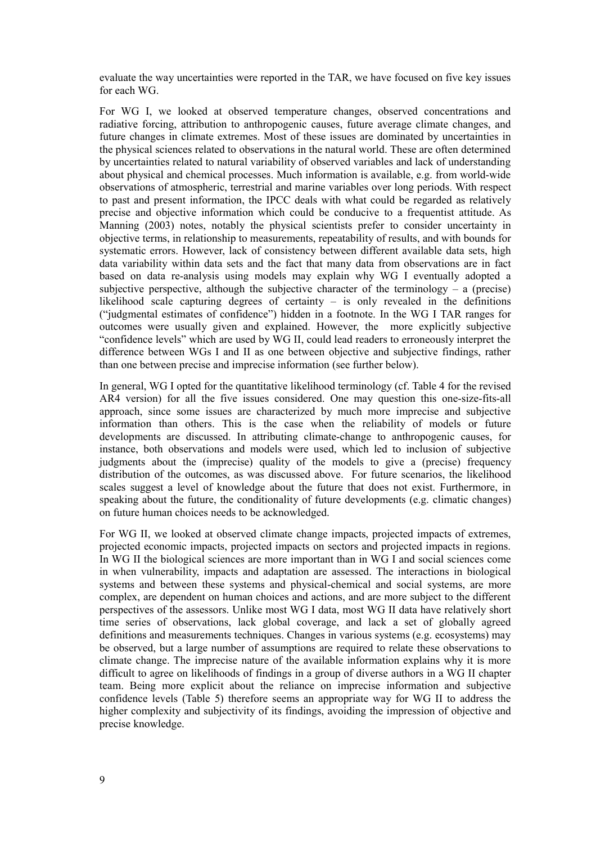evaluate the way uncertainties were reported in the TAR, we have focused on five key issues for each WG.

For WG I, we looked at observed temperature changes, observed concentrations and radiative forcing, attribution to anthropogenic causes, future average climate changes, and future changes in climate extremes. Most of these issues are dominated by uncertainties in the physical sciences related to observations in the natural world. These are often determined by uncertainties related to natural variability of observed variables and lack of understanding about physical and chemical processes. Much information is available, e.g. from world-wide observations of atmospheric, terrestrial and marine variables over long periods. With respect to past and present information, the IPCC deals with what could be regarded as relatively precise and objective information which could be conducive to a frequentist attitude. As Manning (2003) notes, notably the physical scientists prefer to consider uncertainty in objective terms, in relationship to measurements, repeatability of results, and with bounds for systematic errors. However, lack of consistency between different available data sets, high data variability within data sets and the fact that many data from observations are in fact based on data re-analysis using models may explain why WG I eventually adopted a subjective perspective, although the subjective character of the terminology – a (precise) likelihood scale capturing degrees of certainty – is only revealed in the definitions ("judgmental estimates of confidence") hidden in a footnote. In the WG I TAR ranges for outcomes were usually given and explained. However, the more explicitly subjective "confidence levels" which are used by WG II, could lead readers to erroneously interpret the difference between WGs I and II as one between objective and subjective findings, rather than one between precise and imprecise information (see further below).

In general, WG I opted for the quantitative likelihood terminology (cf. Table 4 for the revised AR4 version) for all the five issues considered. One may question this one-size-fits-all approach, since some issues are characterized by much more imprecise and subjective information than others. This is the case when the reliability of models or future developments are discussed. In attributing climate-change to anthropogenic causes, for instance, both observations and models were used, which led to inclusion of subjective judgments about the (imprecise) quality of the models to give a (precise) frequency distribution of the outcomes, as was discussed above. For future scenarios, the likelihood scales suggest a level of knowledge about the future that does not exist. Furthermore, in speaking about the future, the conditionality of future developments (e.g. climatic changes) on future human choices needs to be acknowledged.

For WG II, we looked at observed climate change impacts, projected impacts of extremes, projected economic impacts, projected impacts on sectors and projected impacts in regions. In WG II the biological sciences are more important than in WG I and social sciences come in when vulnerability, impacts and adaptation are assessed. The interactions in biological systems and between these systems and physical-chemical and social systems, are more complex, are dependent on human choices and actions, and are more subject to the different perspectives of the assessors. Unlike most WG I data, most WG II data have relatively short time series of observations, lack global coverage, and lack a set of globally agreed definitions and measurements techniques. Changes in various systems (e.g. ecosystems) may be observed, but a large number of assumptions are required to relate these observations to climate change. The imprecise nature of the available information explains why it is more difficult to agree on likelihoods of findings in a group of diverse authors in a WG II chapter team. Being more explicit about the reliance on imprecise information and subjective confidence levels (Table 5) therefore seems an appropriate way for WG II to address the higher complexity and subjectivity of its findings, avoiding the impression of objective and precise knowledge.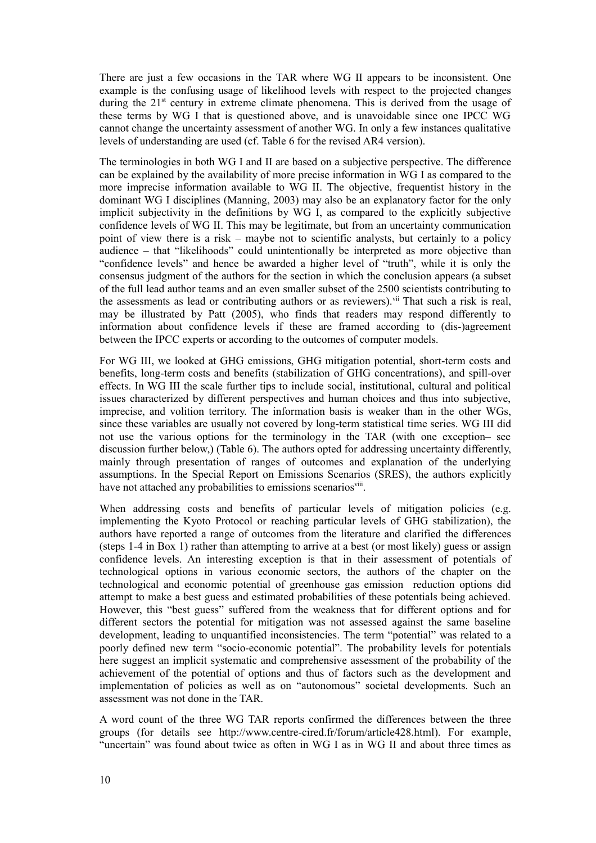There are just a few occasions in the TAR where WG II appears to be inconsistent. One example is the confusing usage of likelihood levels with respect to the projected changes during the  $21<sup>st</sup>$  century in extreme climate phenomena. This is derived from the usage of these terms by WG I that is questioned above, and is unavoidable since one IPCC WG cannot change the uncertainty assessment of another WG. In only a few instances qualitative levels of understanding are used (cf. Table 6 for the revised AR4 version).

The terminologies in both WG I and II are based on a subjective perspective. The difference can be explained by the availability of more precise information in WG I as compared to the more imprecise information available to WG II. The objective, frequentist history in the dominant WG I disciplines (Manning, 2003) may also be an explanatory factor for the only implicit subjectivity in the definitions by WG I, as compared to the explicitly subjective confidence levels of WG II. This may be legitimate, but from an uncertainty communication point of view there is a risk – maybe not to scientific analysts, but certainly to a policy audience – that "likelihoods" could unintentionally be interpreted as more objective than "confidence levels" and hence be awarded a higher level of "truth", while it is only the consensus judgment of the authors for the section in which the conclusion appears (a subset of the full lead author teams and an even smaller subset of the 2500 scientists contributing to the assessments as lead or contributing authors or as reviewers).<sup>[vii](#page-26-6)</sup> That such a risk is real, may be illustrated by Patt (2005), who finds that readers may respond differently to information about confidence levels if these are framed according to (dis-)agreement between the IPCC experts or according to the outcomes of computer models.

For WG III, we looked at GHG emissions, GHG mitigation potential, short-term costs and benefits, long-term costs and benefits (stabilization of GHG concentrations), and spill-over effects. In WG III the scale further tips to include social, institutional, cultural and political issues characterized by different perspectives and human choices and thus into subjective, imprecise, and volition territory. The information basis is weaker than in the other WGs, since these variables are usually not covered by long-term statistical time series. WG III did not use the various options for the terminology in the TAR (with one exception– see discussion further below,) (Table 6). The authors opted for addressing uncertainty differently, mainly through presentation of ranges of outcomes and explanation of the underlying assumptions. In the Special Report on Emissions Scenarios (SRES), the authors explicitly have not attached any probabilities to emissions scenarios<sup>[viii](#page-26-7)</sup>.

When addressing costs and benefits of particular levels of mitigation policies (e.g. implementing the Kyoto Protocol or reaching particular levels of GHG stabilization), the authors have reported a range of outcomes from the literature and clarified the differences (steps 1-4 in Box 1) rather than attempting to arrive at a best (or most likely) guess or assign confidence levels. An interesting exception is that in their assessment of potentials of technological options in various economic sectors, the authors of the chapter on the technological and economic potential of greenhouse gas emission reduction options did attempt to make a best guess and estimated probabilities of these potentials being achieved. However, this "best guess" suffered from the weakness that for different options and for different sectors the potential for mitigation was not assessed against the same baseline development, leading to unquantified inconsistencies. The term "potential" was related to a poorly defined new term "socio-economic potential". The probability levels for potentials here suggest an implicit systematic and comprehensive assessment of the probability of the achievement of the potential of options and thus of factors such as the development and implementation of policies as well as on "autonomous" societal developments. Such an assessment was not done in the TAR.

A word count of the three WG TAR reports confirmed the differences between the three groups (for details see http://www.centre-cired.fr/forum/article428.html). For example, "uncertain" was found about twice as often in WG I as in WG II and about three times as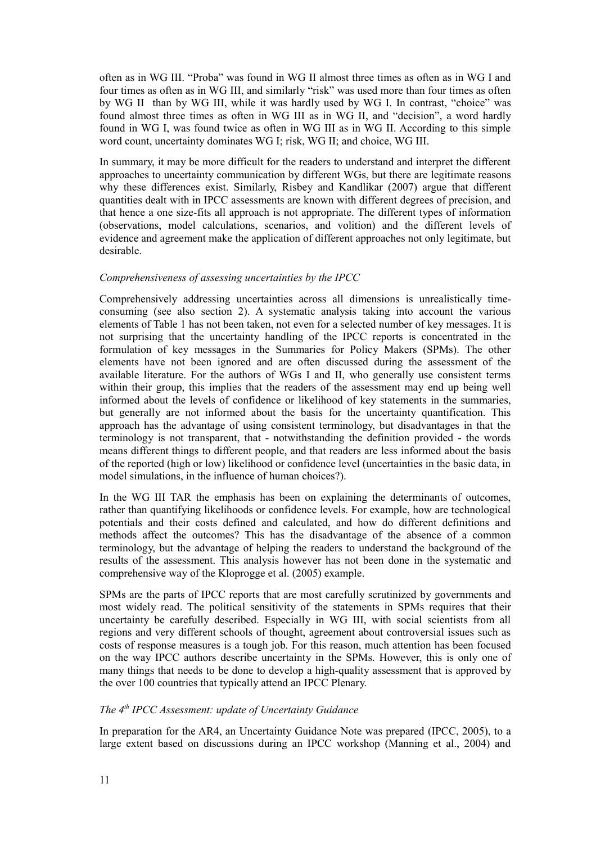often as in WG III. "Proba" was found in WG II almost three times as often as in WG I and four times as often as in WG III, and similarly "risk" was used more than four times as often by WG II than by WG III, while it was hardly used by WG I. In contrast, "choice" was found almost three times as often in WG III as in WG II, and "decision", a word hardly found in WG I, was found twice as often in WG III as in WG II. According to this simple word count, uncertainty dominates WG I; risk, WG II; and choice, WG III.

In summary, it may be more difficult for the readers to understand and interpret the different approaches to uncertainty communication by different WGs, but there are legitimate reasons why these differences exist. Similarly, Risbey and Kandlikar (2007) argue that different quantities dealt with in IPCC assessments are known with different degrees of precision, and that hence a one size-fits all approach is not appropriate. The different types of information (observations, model calculations, scenarios, and volition) and the different levels of evidence and agreement make the application of different approaches not only legitimate, but desirable.

### *Comprehensiveness of assessing uncertainties by the IPCC*

Comprehensively addressing uncertainties across all dimensions is unrealistically timeconsuming (see also section 2). A systematic analysis taking into account the various elements of Table 1 has not been taken, not even for a selected number of key messages. It is not surprising that the uncertainty handling of the IPCC reports is concentrated in the formulation of key messages in the Summaries for Policy Makers (SPMs). The other elements have not been ignored and are often discussed during the assessment of the available literature. For the authors of WGs I and II, who generally use consistent terms within their group, this implies that the readers of the assessment may end up being well informed about the levels of confidence or likelihood of key statements in the summaries, but generally are not informed about the basis for the uncertainty quantification. This approach has the advantage of using consistent terminology, but disadvantages in that the terminology is not transparent, that - notwithstanding the definition provided - the words means different things to different people, and that readers are less informed about the basis of the reported (high or low) likelihood or confidence level (uncertainties in the basic data, in model simulations, in the influence of human choices?).

In the WG III TAR the emphasis has been on explaining the determinants of outcomes, rather than quantifying likelihoods or confidence levels. For example, how are technological potentials and their costs defined and calculated, and how do different definitions and methods affect the outcomes? This has the disadvantage of the absence of a common terminology, but the advantage of helping the readers to understand the background of the results of the assessment. This analysis however has not been done in the systematic and comprehensive way of the Kloprogge et al. (2005) example.

SPMs are the parts of IPCC reports that are most carefully scrutinized by governments and most widely read. The political sensitivity of the statements in SPMs requires that their uncertainty be carefully described. Especially in WG III, with social scientists from all regions and very different schools of thought, agreement about controversial issues such as costs of response measures is a tough job. For this reason, much attention has been focused on the way IPCC authors describe uncertainty in the SPMs. However, this is only one of many things that needs to be done to develop a high-quality assessment that is approved by the over 100 countries that typically attend an IPCC Plenary.

### *The 4th IPCC Assessment: update of Uncertainty Guidance*

In preparation for the AR4, an Uncertainty Guidance Note was prepared (IPCC, 2005), to a large extent based on discussions during an IPCC workshop (Manning et al., 2004) and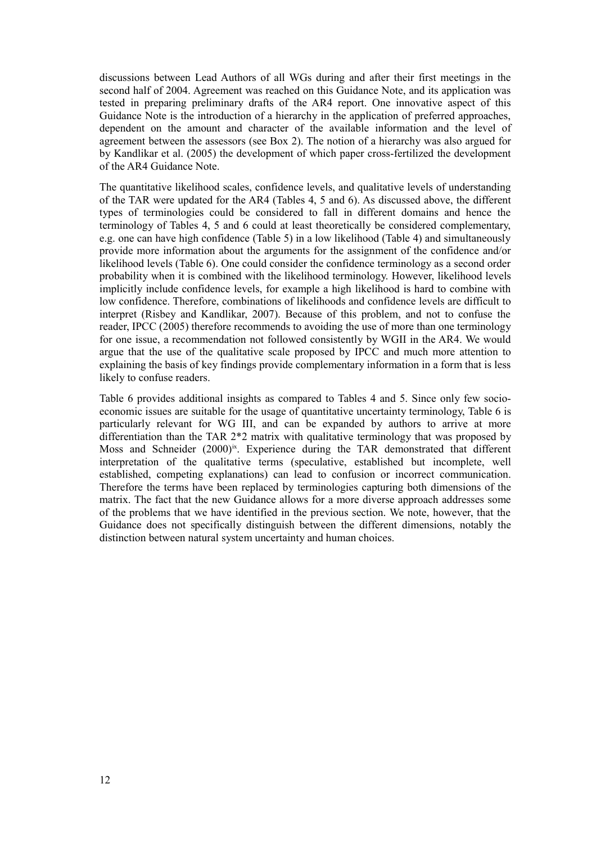discussions between Lead Authors of all WGs during and after their first meetings in the second half of 2004. Agreement was reached on this Guidance Note, and its application was tested in preparing preliminary drafts of the AR4 report. One innovative aspect of this Guidance Note is the introduction of a hierarchy in the application of preferred approaches, dependent on the amount and character of the available information and the level of agreement between the assessors (see Box 2). The notion of a hierarchy was also argued for by Kandlikar et al. (2005) the development of which paper cross-fertilized the development of the AR4 Guidance Note.

The quantitative likelihood scales, confidence levels, and qualitative levels of understanding of the TAR were updated for the AR4 (Tables 4, 5 and 6). As discussed above, the different types of terminologies could be considered to fall in different domains and hence the terminology of Tables 4, 5 and 6 could at least theoretically be considered complementary, e.g. one can have high confidence (Table 5) in a low likelihood (Table 4) and simultaneously provide more information about the arguments for the assignment of the confidence and/or likelihood levels (Table 6). One could consider the confidence terminology as a second order probability when it is combined with the likelihood terminology. However, likelihood levels implicitly include confidence levels, for example a high likelihood is hard to combine with low confidence. Therefore, combinations of likelihoods and confidence levels are difficult to interpret (Risbey and Kandlikar, 2007). Because of this problem, and not to confuse the reader, IPCC (2005) therefore recommends to avoiding the use of more than one terminology for one issue, a recommendation not followed consistently by WGII in the AR4. We would argue that the use of the qualitative scale proposed by IPCC and much more attention to explaining the basis of key findings provide complementary information in a form that is less likely to confuse readers.

Table 6 provides additional insights as compared to Tables 4 and 5. Since only few socioeconomic issues are suitable for the usage of quantitative uncertainty terminology, Table 6 is particularly relevant for WG III, and can be expanded by authors to arrive at more differentiation than the TAR 2\*2 matrix with qualitative terminology that was proposed by Moss and Schneider (2000)<sup>[ix](#page-26-8)</sup>. Experience during the TAR demonstrated that different interpretation of the qualitative terms (speculative, established but incomplete, well established, competing explanations) can lead to confusion or incorrect communication. Therefore the terms have been replaced by terminologies capturing both dimensions of the matrix. The fact that the new Guidance allows for a more diverse approach addresses some of the problems that we have identified in the previous section. We note, however, that the Guidance does not specifically distinguish between the different dimensions, notably the distinction between natural system uncertainty and human choices.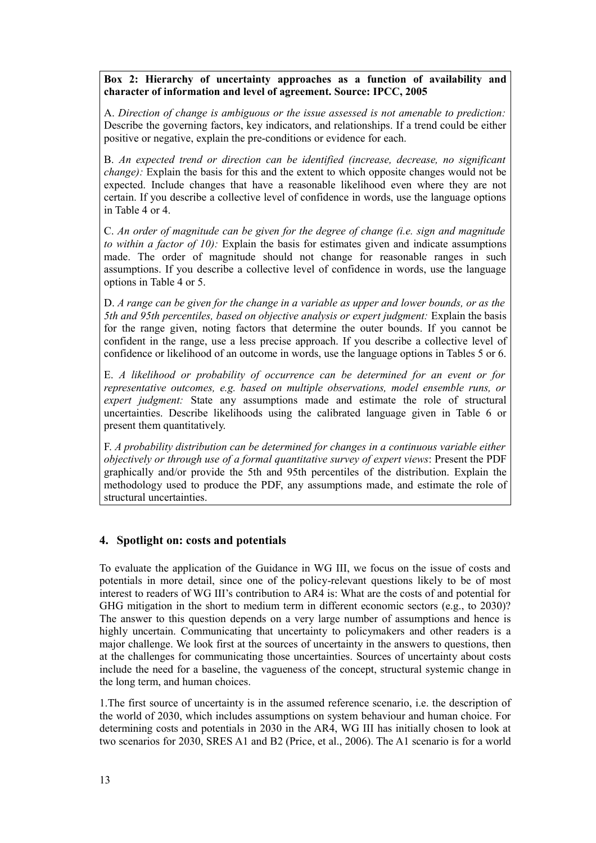**Box 2: Hierarchy of uncertainty approaches as a function of availability and character of information and level of agreement. Source: IPCC, 2005**

A. *Direction of change is ambiguous or the issue assessed is not amenable to prediction:* Describe the governing factors, key indicators, and relationships. If a trend could be either positive or negative, explain the pre-conditions or evidence for each.

B. *An expected trend or direction can be identified (increase, decrease, no significant change)*: Explain the basis for this and the extent to which opposite changes would not be expected. Include changes that have a reasonable likelihood even where they are not certain. If you describe a collective level of confidence in words, use the language options in Table 4 or 4.

C. *An order of magnitude can be given for the degree of change (i.e. sign and magnitude to within a factor of 10):* Explain the basis for estimates given and indicate assumptions made. The order of magnitude should not change for reasonable ranges in such assumptions. If you describe a collective level of confidence in words, use the language options in Table 4 or 5.

D. *A range can be given for the change in a variable as upper and lower bounds, or as the 5th and 95th percentiles, based on objective analysis or expert judgment:* Explain the basis for the range given, noting factors that determine the outer bounds. If you cannot be confident in the range, use a less precise approach. If you describe a collective level of confidence or likelihood of an outcome in words, use the language options in Tables 5 or 6.

E. *A likelihood or probability of occurrence can be determined for an event or for representative outcomes, e.g. based on multiple observations, model ensemble runs, or expert judgment:* State any assumptions made and estimate the role of structural uncertainties. Describe likelihoods using the calibrated language given in Table 6 or present them quantitatively.

F. *A probability distribution can be determined for changes in a continuous variable either objectively or through use of a formal quantitative survey of expert views*: Present the PDF graphically and/or provide the 5th and 95th percentiles of the distribution. Explain the methodology used to produce the PDF, any assumptions made, and estimate the role of structural uncertainties.

# **4. Spotlight on: costs and potentials**

To evaluate the application of the Guidance in WG III, we focus on the issue of costs and potentials in more detail, since one of the policy-relevant questions likely to be of most interest to readers of WG III's contribution to AR4 is: What are the costs of and potential for GHG mitigation in the short to medium term in different economic sectors (e.g., to 2030)? The answer to this question depends on a very large number of assumptions and hence is highly uncertain. Communicating that uncertainty to policymakers and other readers is a major challenge. We look first at the sources of uncertainty in the answers to questions, then at the challenges for communicating those uncertainties. Sources of uncertainty about costs include the need for a baseline, the vagueness of the concept, structural systemic change in the long term, and human choices.

1.The first source of uncertainty is in the assumed reference scenario, i.e. the description of the world of 2030, which includes assumptions on system behaviour and human choice. For determining costs and potentials in 2030 in the AR4, WG III has initially chosen to look at two scenarios for 2030, SRES A1 and B2 (Price, et al., 2006). The A1 scenario is for a world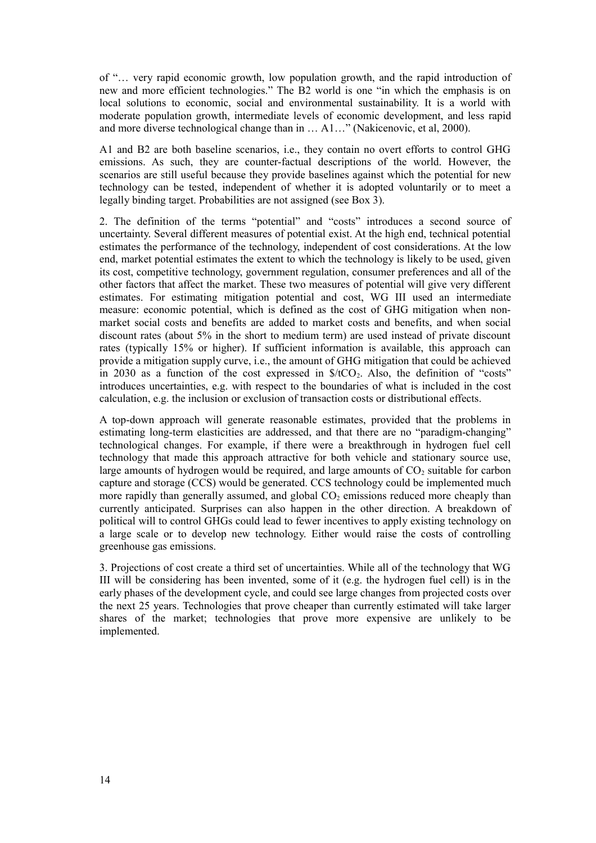of "… very rapid economic growth, low population growth, and the rapid introduction of new and more efficient technologies." The B2 world is one "in which the emphasis is on local solutions to economic, social and environmental sustainability. It is a world with moderate population growth, intermediate levels of economic development, and less rapid and more diverse technological change than in … A1…" (Nakicenovic, et al, 2000).

A1 and B2 are both baseline scenarios, i.e., they contain no overt efforts to control GHG emissions. As such, they are counter-factual descriptions of the world. However, the scenarios are still useful because they provide baselines against which the potential for new technology can be tested, independent of whether it is adopted voluntarily or to meet a legally binding target. Probabilities are not assigned (see Box 3).

2. The definition of the terms "potential" and "costs" introduces a second source of uncertainty. Several different measures of potential exist. At the high end, technical potential estimates the performance of the technology, independent of cost considerations. At the low end, market potential estimates the extent to which the technology is likely to be used, given its cost, competitive technology, government regulation, consumer preferences and all of the other factors that affect the market. These two measures of potential will give very different estimates. For estimating mitigation potential and cost, WG III used an intermediate measure: economic potential, which is defined as the cost of GHG mitigation when nonmarket social costs and benefits are added to market costs and benefits, and when social discount rates (about 5% in the short to medium term) are used instead of private discount rates (typically 15% or higher). If sufficient information is available, this approach can provide a mitigation supply curve, i.e., the amount of GHG mitigation that could be achieved in 2030 as a function of the cost expressed in  $\frac{C}{C}$ . Also, the definition of "costs" introduces uncertainties, e.g. with respect to the boundaries of what is included in the cost calculation, e.g. the inclusion or exclusion of transaction costs or distributional effects.

A top-down approach will generate reasonable estimates, provided that the problems in estimating long-term elasticities are addressed, and that there are no "paradigm-changing" technological changes. For example, if there were a breakthrough in hydrogen fuel cell technology that made this approach attractive for both vehicle and stationary source use, large amounts of hydrogen would be required, and large amounts of  $CO<sub>2</sub>$  suitable for carbon capture and storage (CCS) would be generated. CCS technology could be implemented much more rapidly than generally assumed, and global  $CO<sub>2</sub>$  emissions reduced more cheaply than currently anticipated. Surprises can also happen in the other direction. A breakdown of political will to control GHGs could lead to fewer incentives to apply existing technology on a large scale or to develop new technology. Either would raise the costs of controlling greenhouse gas emissions.

3. Projections of cost create a third set of uncertainties. While all of the technology that WG III will be considering has been invented, some of it (e.g. the hydrogen fuel cell) is in the early phases of the development cycle, and could see large changes from projected costs over the next 25 years. Technologies that prove cheaper than currently estimated will take larger shares of the market; technologies that prove more expensive are unlikely to be implemented.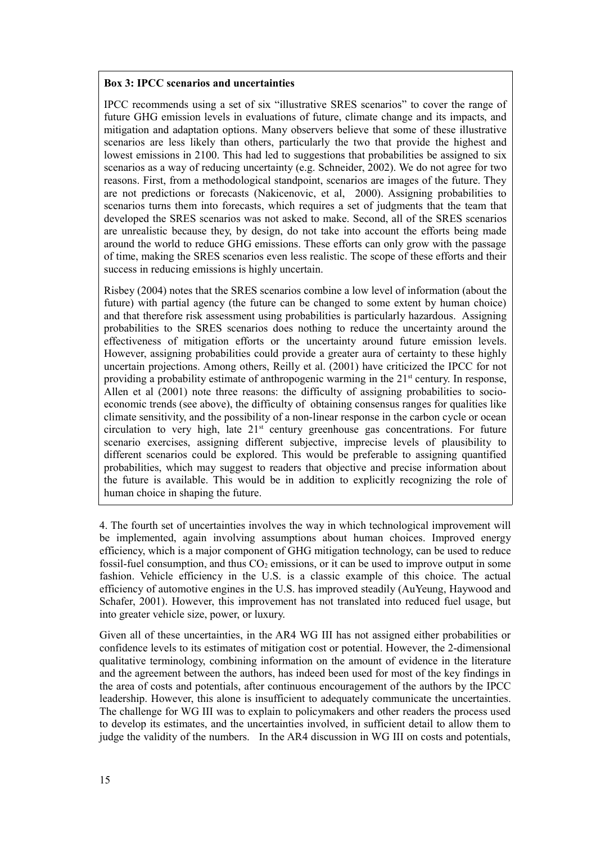### **Box 3: IPCC scenarios and uncertainties**

IPCC recommends using a set of six "illustrative SRES scenarios" to cover the range of future GHG emission levels in evaluations of future, climate change and its impacts, and mitigation and adaptation options. Many observers believe that some of these illustrative scenarios are less likely than others, particularly the two that provide the highest and lowest emissions in 2100. This had led to suggestions that probabilities be assigned to six scenarios as a way of reducing uncertainty (e.g. Schneider, 2002). We do not agree for two reasons. First, from a methodological standpoint, scenarios are images of the future. They are not predictions or forecasts (Nakicenovic, et al, 2000). Assigning probabilities to scenarios turns them into forecasts, which requires a set of judgments that the team that developed the SRES scenarios was not asked to make. Second, all of the SRES scenarios are unrealistic because they, by design, do not take into account the efforts being made around the world to reduce GHG emissions. These efforts can only grow with the passage of time, making the SRES scenarios even less realistic. The scope of these efforts and their success in reducing emissions is highly uncertain.

Risbey (2004) notes that the SRES scenarios combine a low level of information (about the future) with partial agency (the future can be changed to some extent by human choice) and that therefore risk assessment using probabilities is particularly hazardous. Assigning probabilities to the SRES scenarios does nothing to reduce the uncertainty around the effectiveness of mitigation efforts or the uncertainty around future emission levels. However, assigning probabilities could provide a greater aura of certainty to these highly uncertain projections. Among others, Reilly et al. (2001) have criticized the IPCC for not providing a probability estimate of anthropogenic warming in the  $21<sup>st</sup>$  century. In response, Allen et al (2001) note three reasons: the difficulty of assigning probabilities to socioeconomic trends (see above), the difficulty of obtaining consensus ranges for qualities like climate sensitivity, and the possibility of a non-linear response in the carbon cycle or ocean circulation to very high, late  $21<sup>st</sup>$  century greenhouse gas concentrations. For future scenario exercises, assigning different subjective, imprecise levels of plausibility to different scenarios could be explored. This would be preferable to assigning quantified probabilities, which may suggest to readers that objective and precise information about the future is available. This would be in addition to explicitly recognizing the role of human choice in shaping the future.

4. The fourth set of uncertainties involves the way in which technological improvement will be implemented, again involving assumptions about human choices. Improved energy efficiency, which is a major component of GHG mitigation technology, can be used to reduce fossil-fuel consumption, and thus  $CO<sub>2</sub>$  emissions, or it can be used to improve output in some fashion. Vehicle efficiency in the U.S. is a classic example of this choice. The actual efficiency of automotive engines in the U.S. has improved steadily (AuYeung, Haywood and Schafer, 2001). However, this improvement has not translated into reduced fuel usage, but into greater vehicle size, power, or luxury.

Given all of these uncertainties, in the AR4 WG III has not assigned either probabilities or confidence levels to its estimates of mitigation cost or potential. However, the 2-dimensional qualitative terminology, combining information on the amount of evidence in the literature and the agreement between the authors, has indeed been used for most of the key findings in the area of costs and potentials, after continuous encouragement of the authors by the IPCC leadership. However, this alone is insufficient to adequately communicate the uncertainties. The challenge for WG III was to explain to policymakers and other readers the process used to develop its estimates, and the uncertainties involved, in sufficient detail to allow them to judge the validity of the numbers. In the AR4 discussion in WG III on costs and potentials,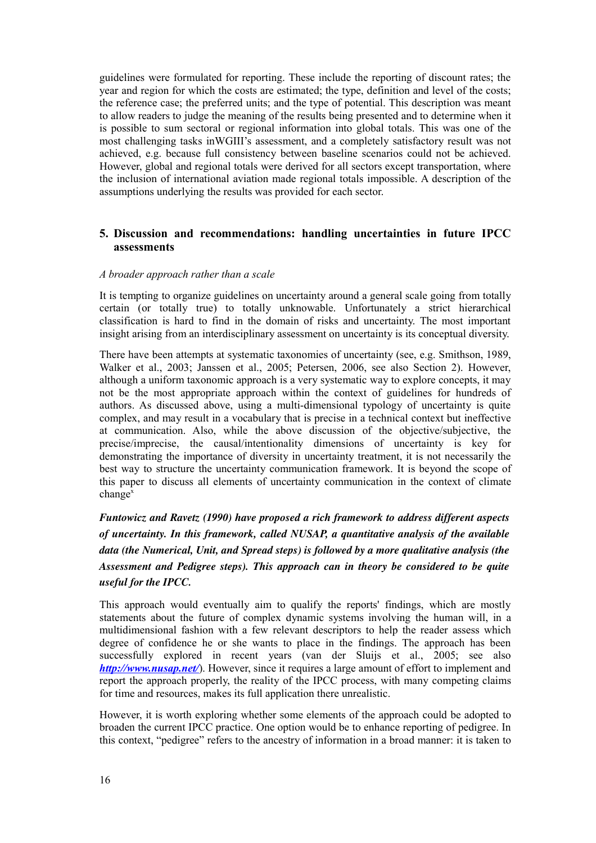guidelines were formulated for reporting. These include the reporting of discount rates; the year and region for which the costs are estimated; the type, definition and level of the costs; the reference case; the preferred units; and the type of potential. This description was meant to allow readers to judge the meaning of the results being presented and to determine when it is possible to sum sectoral or regional information into global totals. This was one of the most challenging tasks inWGIII's assessment, and a completely satisfactory result was not achieved, e.g. because full consistency between baseline scenarios could not be achieved. However, global and regional totals were derived for all sectors except transportation, where the inclusion of international aviation made regional totals impossible. A description of the assumptions underlying the results was provided for each sector.

# **5. Discussion and recommendations: handling uncertainties in future IPCC assessments**

### *A broader approach rather than a scale*

It is tempting to organize guidelines on uncertainty around a general scale going from totally certain (or totally true) to totally unknowable. Unfortunately a strict hierarchical classification is hard to find in the domain of risks and uncertainty. The most important insight arising from an interdisciplinary assessment on uncertainty is its conceptual diversity.

There have been attempts at systematic taxonomies of uncertainty (see, e.g. Smithson, 1989, Walker et al., 2003; Janssen et al., 2005; Petersen, 2006, see also Section 2). However, although a uniform taxonomic approach is a very systematic way to explore concepts, it may not be the most appropriate approach within the context of guidelines for hundreds of authors. As discussed above, using a multi-dimensional typology of uncertainty is quite complex, and may result in a vocabulary that is precise in a technical context but ineffective at communication. Also, while the above discussion of the objective/subjective, the precise/imprecise, the causal/intentionality dimensions of uncertainty is key for demonstrating the importance of diversity in uncertainty treatment, it is not necessarily the best way to structure the uncertainty communication framework. It is beyond the scope of this paper to discuss all elements of uncertainty communication in the context of climate change[x](#page-26-9)

*Funtowicz and Ravetz (1990) have proposed a rich framework to address different aspects of uncertainty. In this framework, called NUSAP, a quantitative analysis of the available data (the Numerical, Unit, and Spread steps) is followed by a more qualitative analysis (the Assessment and Pedigree steps). This approach can in theory be considered to be quite useful for the IPCC.*

This approach would eventually aim to qualify the reports' findings, which are mostly statements about the future of complex dynamic systems involving the human will, in a multidimensional fashion with a few relevant descriptors to help the reader assess which degree of confidence he or she wants to place in the findings. The approach has been successfully explored in recent years (van der Sluijs et al., 2005; see also *<http://www.nusap.net/>*). However, since it requires a large amount of effort to implement and report the approach properly, the reality of the IPCC process, with many competing claims for time and resources, makes its full application there unrealistic.

However, it is worth exploring whether some elements of the approach could be adopted to broaden the current IPCC practice. One option would be to enhance reporting of pedigree. In this context, "pedigree" refers to the ancestry of information in a broad manner: it is taken to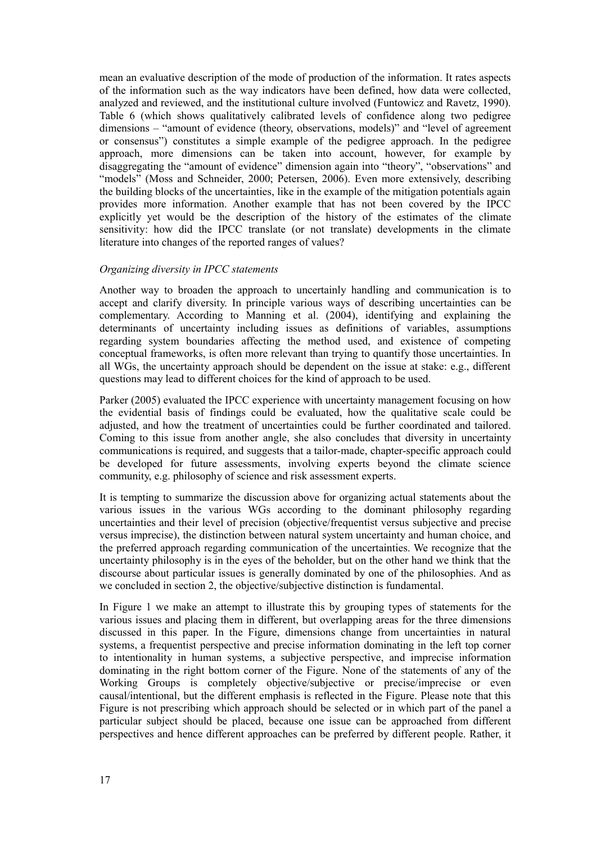mean an evaluative description of the mode of production of the information. It rates aspects of the information such as the way indicators have been defined, how data were collected, analyzed and reviewed, and the institutional culture involved (Funtowicz and Ravetz, 1990). Table 6 (which shows qualitatively calibrated levels of confidence along two pedigree dimensions – "amount of evidence (theory, observations, models)" and "level of agreement or consensus") constitutes a simple example of the pedigree approach. In the pedigree approach, more dimensions can be taken into account, however, for example by disaggregating the "amount of evidence" dimension again into "theory", "observations" and "models" (Moss and Schneider, 2000; Petersen, 2006). Even more extensively, describing the building blocks of the uncertainties, like in the example of the mitigation potentials again provides more information. Another example that has not been covered by the IPCC explicitly yet would be the description of the history of the estimates of the climate sensitivity: how did the IPCC translate (or not translate) developments in the climate literature into changes of the reported ranges of values?

### *Organizing diversity in IPCC statements*

Another way to broaden the approach to uncertainly handling and communication is to accept and clarify diversity. In principle various ways of describing uncertainties can be complementary. According to Manning et al. (2004), identifying and explaining the determinants of uncertainty including issues as definitions of variables, assumptions regarding system boundaries affecting the method used, and existence of competing conceptual frameworks, is often more relevant than trying to quantify those uncertainties. In all WGs, the uncertainty approach should be dependent on the issue at stake: e.g., different questions may lead to different choices for the kind of approach to be used.

Parker (2005) evaluated the IPCC experience with uncertainty management focusing on how the evidential basis of findings could be evaluated, how the qualitative scale could be adjusted, and how the treatment of uncertainties could be further coordinated and tailored. Coming to this issue from another angle, she also concludes that diversity in uncertainty communications is required, and suggests that a tailor-made, chapter-specific approach could be developed for future assessments, involving experts beyond the climate science community, e.g. philosophy of science and risk assessment experts.

It is tempting to summarize the discussion above for organizing actual statements about the various issues in the various WGs according to the dominant philosophy regarding uncertainties and their level of precision (objective/frequentist versus subjective and precise versus imprecise), the distinction between natural system uncertainty and human choice, and the preferred approach regarding communication of the uncertainties. We recognize that the uncertainty philosophy is in the eyes of the beholder, but on the other hand we think that the discourse about particular issues is generally dominated by one of the philosophies. And as we concluded in section 2, the objective/subjective distinction is fundamental.

In Figure 1 we make an attempt to illustrate this by grouping types of statements for the various issues and placing them in different, but overlapping areas for the three dimensions discussed in this paper. In the Figure, dimensions change from uncertainties in natural systems, a frequentist perspective and precise information dominating in the left top corner to intentionality in human systems, a subjective perspective, and imprecise information dominating in the right bottom corner of the Figure. None of the statements of any of the Working Groups is completely objective/subjective or precise/imprecise or even causal/intentional, but the different emphasis is reflected in the Figure. Please note that this Figure is not prescribing which approach should be selected or in which part of the panel a particular subject should be placed, because one issue can be approached from different perspectives and hence different approaches can be preferred by different people. Rather, it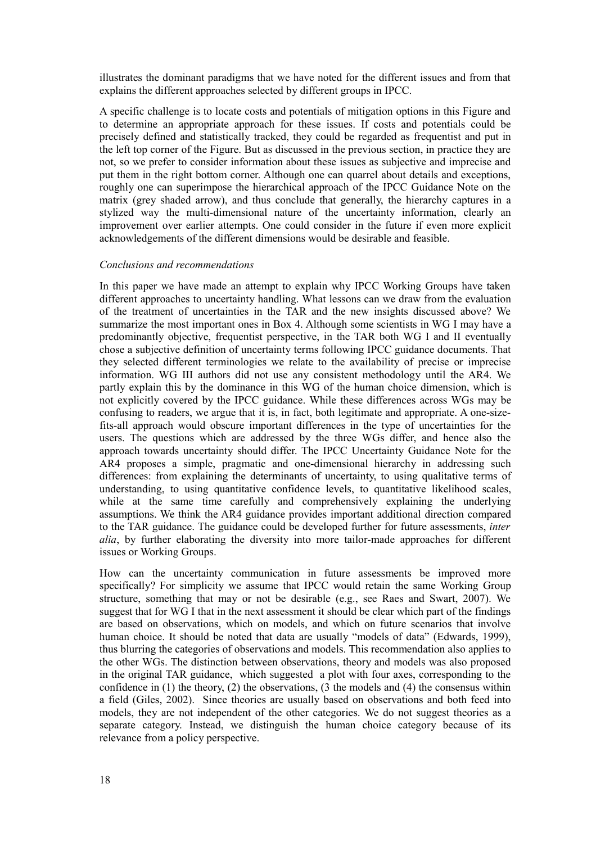illustrates the dominant paradigms that we have noted for the different issues and from that explains the different approaches selected by different groups in IPCC.

A specific challenge is to locate costs and potentials of mitigation options in this Figure and to determine an appropriate approach for these issues. If costs and potentials could be precisely defined and statistically tracked, they could be regarded as frequentist and put in the left top corner of the Figure. But as discussed in the previous section, in practice they are not, so we prefer to consider information about these issues as subjective and imprecise and put them in the right bottom corner. Although one can quarrel about details and exceptions, roughly one can superimpose the hierarchical approach of the IPCC Guidance Note on the matrix (grey shaded arrow), and thus conclude that generally, the hierarchy captures in a stylized way the multi-dimensional nature of the uncertainty information, clearly an improvement over earlier attempts. One could consider in the future if even more explicit acknowledgements of the different dimensions would be desirable and feasible.

### *Conclusions and recommendations*

In this paper we have made an attempt to explain why IPCC Working Groups have taken different approaches to uncertainty handling. What lessons can we draw from the evaluation of the treatment of uncertainties in the TAR and the new insights discussed above? We summarize the most important ones in Box 4. Although some scientists in WG I may have a predominantly objective, frequentist perspective, in the TAR both WG I and II eventually chose a subjective definition of uncertainty terms following IPCC guidance documents. That they selected different terminologies we relate to the availability of precise or imprecise information. WG III authors did not use any consistent methodology until the AR4. We partly explain this by the dominance in this WG of the human choice dimension, which is not explicitly covered by the IPCC guidance. While these differences across WGs may be confusing to readers, we argue that it is, in fact, both legitimate and appropriate. A one-sizefits-all approach would obscure important differences in the type of uncertainties for the users. The questions which are addressed by the three WGs differ, and hence also the approach towards uncertainty should differ. The IPCC Uncertainty Guidance Note for the AR4 proposes a simple, pragmatic and one-dimensional hierarchy in addressing such differences: from explaining the determinants of uncertainty, to using qualitative terms of understanding, to using quantitative confidence levels, to quantitative likelihood scales, while at the same time carefully and comprehensively explaining the underlying assumptions. We think the AR4 guidance provides important additional direction compared to the TAR guidance. The guidance could be developed further for future assessments, *inter alia*, by further elaborating the diversity into more tailor-made approaches for different issues or Working Groups.

How can the uncertainty communication in future assessments be improved more specifically? For simplicity we assume that IPCC would retain the same Working Group structure, something that may or not be desirable (e.g., see Raes and Swart, 2007). We suggest that for WG I that in the next assessment it should be clear which part of the findings are based on observations, which on models, and which on future scenarios that involve human choice. It should be noted that data are usually "models of data" (Edwards, 1999), thus blurring the categories of observations and models. This recommendation also applies to the other WGs. The distinction between observations, theory and models was also proposed in the original TAR guidance, which suggested a plot with four axes, corresponding to the confidence in (1) the theory, (2) the observations, (3 the models and (4) the consensus within a field (Giles, 2002). Since theories are usually based on observations and both feed into models, they are not independent of the other categories. We do not suggest theories as a separate category. Instead, we distinguish the human choice category because of its relevance from a policy perspective.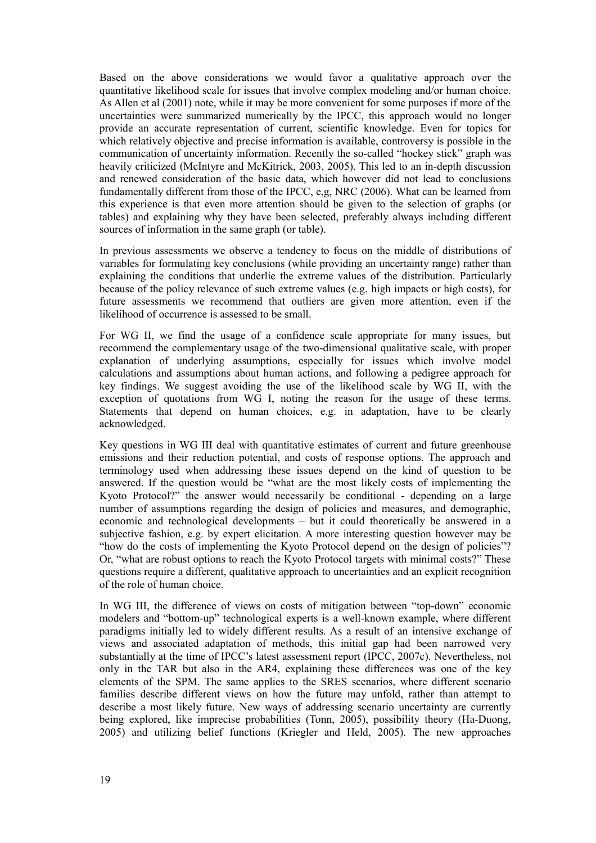Based on the above considerations we would favor a qualitative approach over the quantitative likelihood scale for issues that involve complex modeling and/or human choice. As Allen et al (2001) note, while it may be more convenient for some purposes if more of the uncertainties were summarized numerically by the IPCC, this approach would no longer provide an accurate representation of current, scientific knowledge. Even for topics for which relatively objective and precise information is available, controversy is possible in the communication of uncertainty information. Recently the so-called "hockey stick" graph was heavily criticized (McIntyre and McKitrick, 2003, 2005). This led to an in-depth discussion and renewed consideration of the basic data, which however did not lead to conclusions fundamentally different from those of the IPCC, e,g, NRC (2006). What can be learned from this experience is that even more attention should be given to the selection of graphs (or tables) and explaining why they have been selected, preferably always including different sources of information in the same graph (or table).

In previous assessments we observe a tendency to focus on the middle of distributions of variables for formulating key conclusions (while providing an uncertainty range) rather than explaining the conditions that underlie the extreme values of the distribution. Particularly because of the policy relevance of such extreme values (e.g. high impacts or high costs), for future assessments we recommend that outliers are given more attention, even if the likelihood of occurrence is assessed to be small.

For WG II, we find the usage of a confidence scale appropriate for many issues, but recommend the complementary usage of the two-dimensional qualitative scale, with proper explanation of underlying assumptions, especially for issues which involve model calculations and assumptions about human actions, and following a pedigree approach for key findings. We suggest avoiding the use of the likelihood scale by WG II, with the exception of quotations from WG I, noting the reason for the usage of these terms. Statements that depend on human choices, e.g. in adaptation, have to be clearly acknowledged.

Key questions in WG III deal with quantitative estimates of current and future greenhouse emissions and their reduction potential, and costs of response options. The approach and terminology used when addressing these issues depend on the kind of question to be answered. If the question would be "what are the most likely costs of implementing the Kyoto Protocol?" the answer would necessarily be conditional - depending on a large number of assumptions regarding the design of policies and measures, and demographic, economic and technological developments – but it could theoretically be answered in a subjective fashion, e.g. by expert elicitation. A more interesting question however may be "how do the costs of implementing the Kyoto Protocol depend on the design of policies"? Or, "what are robust options to reach the Kyoto Protocol targets with minimal costs?" These questions require a different, qualitative approach to uncertainties and an explicit recognition of the role of human choice.

In WG III, the difference of views on costs of mitigation between "top-down" economic modelers and "bottom-up" technological experts is a well-known example, where different paradigms initially led to widely different results. As a result of an intensive exchange of views and associated adaptation of methods, this initial gap had been narrowed very substantially at the time of IPCC's latest assessment report (IPCC, 2007c). Nevertheless, not only in the TAR but also in the AR4, explaining these differences was one of the key elements of the SPM. The same applies to the SRES scenarios, where different scenario families describe different views on how the future may unfold, rather than attempt to describe a most likely future. New ways of addressing scenario uncertainty are currently being explored, like imprecise probabilities (Tonn, 2005), possibility theory (Ha-Duong, 2005) and utilizing belief functions (Kriegler and Held, 2005). The new approaches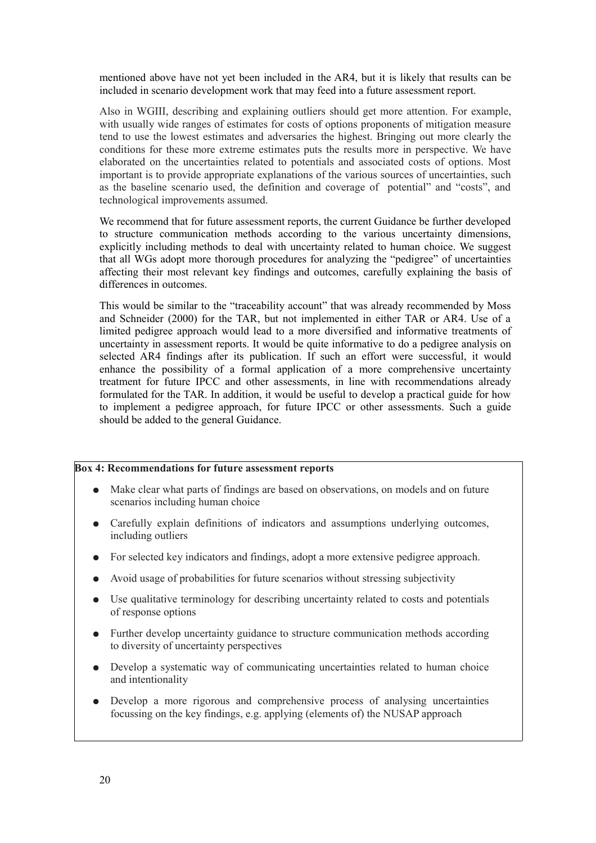mentioned above have not yet been included in the AR4, but it is likely that results can be included in scenario development work that may feed into a future assessment report.

Also in WGIII, describing and explaining outliers should get more attention. For example, with usually wide ranges of estimates for costs of options proponents of mitigation measure tend to use the lowest estimates and adversaries the highest. Bringing out more clearly the conditions for these more extreme estimates puts the results more in perspective. We have elaborated on the uncertainties related to potentials and associated costs of options. Most important is to provide appropriate explanations of the various sources of uncertainties, such as the baseline scenario used, the definition and coverage of potential" and "costs", and technological improvements assumed.

We recommend that for future assessment reports, the current Guidance be further developed to structure communication methods according to the various uncertainty dimensions, explicitly including methods to deal with uncertainty related to human choice. We suggest that all WGs adopt more thorough procedures for analyzing the "pedigree" of uncertainties affecting their most relevant key findings and outcomes, carefully explaining the basis of differences in outcomes.

This would be similar to the "traceability account" that was already recommended by Moss and Schneider (2000) for the TAR, but not implemented in either TAR or AR4. Use of a limited pedigree approach would lead to a more diversified and informative treatments of uncertainty in assessment reports. It would be quite informative to do a pedigree analysis on selected AR4 findings after its publication. If such an effort were successful, it would enhance the possibility of a formal application of a more comprehensive uncertainty treatment for future IPCC and other assessments, in line with recommendations already formulated for the TAR. In addition, it would be useful to develop a practical guide for how to implement a pedigree approach, for future IPCC or other assessments. Such a guide should be added to the general Guidance.

## **Box 4: Recommendations for future assessment reports**

- Make clear what parts of findings are based on observations, on models and on future scenarios including human choice
- Carefully explain definitions of indicators and assumptions underlying outcomes, including outliers
- For selected key indicators and findings, adopt a more extensive pedigree approach.
- Avoid usage of probabilities for future scenarios without stressing subjectivity
- Use qualitative terminology for describing uncertainty related to costs and potentials of response options
- Further develop uncertainty guidance to structure communication methods according to diversity of uncertainty perspectives
- Develop a systematic way of communicating uncertainties related to human choice and intentionality
- Develop a more rigorous and comprehensive process of analysing uncertainties focussing on the key findings, e.g. applying (elements of) the NUSAP approach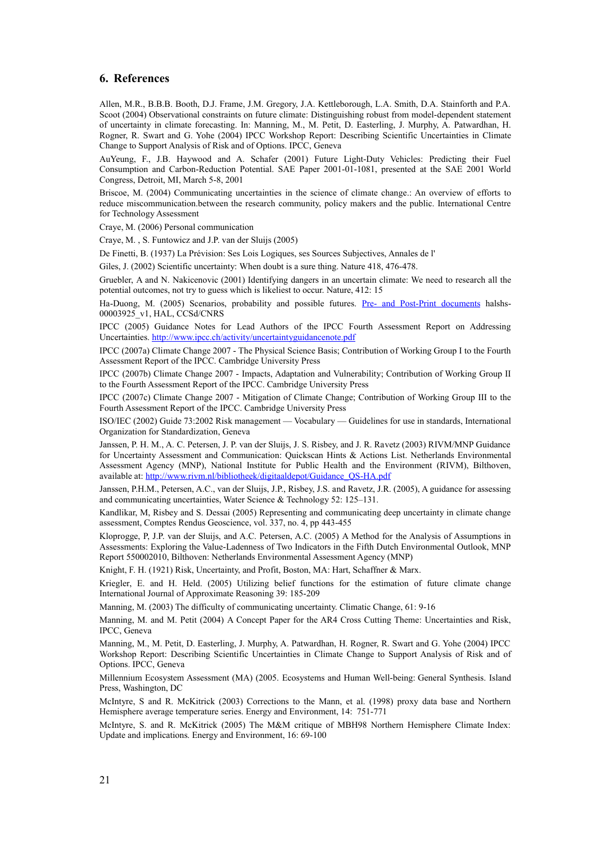## **6. References**

Allen, M.R., B.B.B. Booth, D.J. Frame, J.M. Gregory, J.A. Kettleborough, L.A. Smith, D.A. Stainforth and P.A. Scoot (2004) Observational constraints on future climate: Distinguishing robust from model-dependent statement of uncertainty in climate forecasting. In: Manning, M., M. Petit, D. Easterling, J. Murphy, A. Patwardhan, H. Rogner, R. Swart and G. Yohe (2004) IPCC Workshop Report: Describing Scientific Uncertainties in Climate Change to Support Analysis of Risk and of Options. IPCC, Geneva

AuYeung, F., J.B. Haywood and A. Schafer (2001) Future Light-Duty Vehicles: Predicting their Fuel Consumption and Carbon-Reduction Potential. SAE Paper 2001-01-1081, presented at the SAE 2001 World Congress, Detroit, MI, March 5-8, 2001

Briscoe, M. (2004) Communicating uncertainties in the science of climate change.: An overview of efforts to reduce miscommunication.between the research community, policy makers and the public. International Centre for Technology Assessment

Craye, M. (2006) Personal communication

Craye, M. , S. Funtowicz and J.P. van der Sluijs (2005)

De Finetti, B. (1937) La Prévision: Ses Lois Logiques, ses Sources Subjectives, Annales de l'

Giles, J. (2002) Scientific uncertainty: When doubt is a sure thing. Nature 418, 476-478.

Gruebler, A and N. Nakicenovic (2001) Identifying dangers in an uncertain climate: We need to research all the potential outcomes, not try to guess which is likeliest to occur. Nature, 412: 15

Ha-Duong, M. (2005) Scenarios, probability and possible futures. Pre- and Post-Print [documents](http://ideas.repec.org/s/hal/papers.html) halshs-00003925\_v1, HAL, CCSd/CNRS

IPCC (2005) Guidance Notes for Lead Authors of the IPCC Fourth Assessment Report on Addressing Uncertainties.<http://www.ipcc.ch/activity/uncertaintyguidancenote.pdf>

IPCC (2007a) Climate Change 2007 - The Physical Science Basis; Contribution of Working Group I to the Fourth Assessment Report of the IPCC. Cambridge University Press

IPCC (2007b) Climate Change 2007 - Impacts, Adaptation and Vulnerability; Contribution of Working Group II to the Fourth Assessment Report of the IPCC. Cambridge University Press

IPCC (2007c) Climate Change 2007 - Mitigation of Climate Change; Contribution of Working Group III to the Fourth Assessment Report of the IPCC. Cambridge University Press

ISO/IEC (2002) Guide 73:2002 Risk management — Vocabulary — Guidelines for use in standards, International Organization for Standardization, Geneva

Janssen, P. H. M., A. C. Petersen, J. P. van der Sluijs, J. S. Risbey, and J. R. Ravetz (2003) RIVM/MNP Guidance for Uncertainty Assessment and Communication: Quickscan Hints & Actions List. Netherlands Environmental Assessment Agency (MNP), National Institute for Public Health and the Environment (RIVM), Bilthoven, available at: [http://www.rivm.nl/bibliotheek/digitaaldepot/Guidance\\_QS-HA.pdf](http://www.rivm.nl/bibliotheek/digitaaldepot/Guidance_QS-HA.pdf)

Janssen, P.H.M., Petersen, A.C., van der Sluijs, J.P., Risbey, J.S. and Ravetz, J.R. (2005), A guidance for assessing and communicating uncertainties, Water Science & Technology 52: 125–131.

Kandlikar, M, Risbey and S. Dessai (2005) Representing and communicating deep uncertainty in climate change assessment, Comptes Rendus Geoscience, vol. 337, no. 4, pp 443-455

Kloprogge, P, J.P. van der Sluijs, and A.C. Petersen, A.C. (2005) A Method for the Analysis of Assumptions in Assessments: Exploring the Value-Ladenness of Two Indicators in the Fifth Dutch Environmental Outlook, MNP Report 550002010, Bilthoven: Netherlands Environmental Assessment Agency (MNP)

Knight, F. H. (1921) Risk, Uncertainty, and Profit, Boston, MA: Hart, Schaffner & Marx.

Kriegler, E. and H. Held. (2005) Utilizing belief functions for the estimation of future climate change International Journal of Approximate Reasoning 39: 185-209

Manning, M. (2003) The difficulty of communicating uncertainty. Climatic Change, 61: 9-16

Manning, M. and M. Petit (2004) A Concept Paper for the AR4 Cross Cutting Theme: Uncertainties and Risk, IPCC, Geneva

Manning, M., M. Petit, D. Easterling, J. Murphy, A. Patwardhan, H. Rogner, R. Swart and G. Yohe (2004) IPCC Workshop Report: Describing Scientific Uncertainties in Climate Change to Support Analysis of Risk and of Options. IPCC, Geneva

Millennium Ecosystem Assessment (MA) (2005. Ecosystems and Human Well-being: General Synthesis. Island Press, Washington, DC

McIntyre, S and R. McKitrick (2003) Corrections to the Mann, et al. (1998) proxy data base and Northern Hemisphere average temperature series. Energy and Environment, 14: 751-771

McIntyre, S. and R. McKitrick (2005) The M&M critique of MBH98 Northern Hemisphere Climate Index: Update and implications. Energy and Environment, 16: 69-100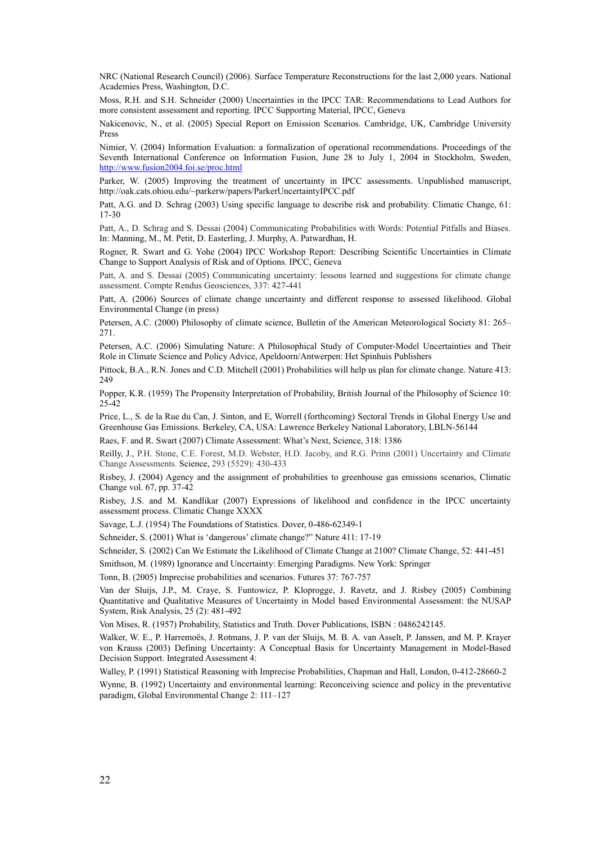NRC (National Research Council) (2006). Surface Temperature Reconstructions for the last 2,000 years. National Academies Press, Washington, D.C.

Moss, R.H. and S.H. Schneider (2000) Uncertainties in the IPCC TAR: Recommendations to Lead Authors for more consistent assessment and reporting. IPCC Supporting Material, IPCC, Geneva

Nakicenovic, N., et al. (2005) Special Report on Emission Scenarios. Cambridge, UK, Cambridge University Press

Nimier, V. (2004) Information Evaluation: a formalization of operational recommendations. Proceedings of the Seventh International Conference on Information Fusion, June 28 to July 1, 2004 in Stockholm, Sweden, <http://www.fusion2004.foi.se/proc.html>

Parker, W. (2005) Improving the treatment of uncertainty in IPCC assessments. Unpublished manuscript, http://oak.cats.ohiou.edu/~parkerw/papers/ParkerUncertaintyIPCC.pdf

Patt, A.G. and D. Schrag (2003) Using specific language to describe risk and probability. Climatic Change, 61: 17-30

Patt, A., D. Schrag and S. Dessai (2004) Communicating Probabilities with Words: Potential Pitfalls and Biases. In: Manning, M., M. Petit, D. Easterling, J. Murphy, A. Patwardhan, H.

Rogner, R. Swart and G. Yohe (2004) IPCC Workshop Report: Describing Scientific Uncertainties in Climate Change to Support Analysis of Risk and of Options. IPCC, Geneva

Patt, A. and S. Dessai (2005) Communicating uncertainty: lessons learned and suggestions for climate change assessment. Compte Rendus Geosciences, 337: 427-441

Patt, A. (2006) Sources of climate change uncertainty and different response to assessed likelihood. Global Environmental Change (in press)

Petersen, A.C. (2000) Philosophy of climate science, Bulletin of the American Meteorological Society 81: 265– 271.

Petersen, A.C. (2006) Simulating Nature: A Philosophical Study of Computer-Model Uncertainties and Their Role in Climate Science and Policy Advice, Apeldoorn/Antwerpen: Het Spinhuis Publishers

Pittock, B.A., R.N. Jones and C.D. Mitchell (2001) Probabilities will help us plan for climate change. Nature 413:  $249$ 

Popper, K.R. (1959) The Propensity Interpretation of Probability, British Journal of the Philosophy of Science 10: 25-42

Price, L., S. de la Rue du Can, J. Sinton, and E, Worrell (forthcoming) Sectoral Trends in Global Energy Use and Greenhouse Gas Emissions. Berkeley, CA, USA: Lawrence Berkeley National Laboratory, LBLN-56144

Raes, F. and R. Swart (2007) Climate Assessment: What's Next, Science, 318: 1386

Reilly, J., P.H. Stone, C.E. Forest, M.D. Webster, H.D. Jacoby, and R.G. Prinn (2001) Uncertainty and Climate Change Assessments. Science, 293 (5529): 430-433

Risbey, J. (2004) Agency and the assignment of probabilities to greenhouse gas emissions scenarios, Climatic Change vol. 67, pp. 37-42

Risbey, J.S. and M. Kandlikar (2007) Expressions of likelihood and confidence in the IPCC uncertainty assessment process. Climatic Change XXXX

Savage, L.J. (1954) The Foundations of Statistics. Dover, 0-486-62349-1

Schneider, S. (2001) What is 'dangerous' climate change?" Nature 411: 17-19

Schneider, S. (2002) Can We Estimate the Likelihood of Climate Change at 2100? Climate Change, 52: 441-451

Smithson, M. (1989) Ignorance and Uncertainty: Emerging Paradigms. New York: Springer

Tonn, B. (2005) Imprecise probabilities and scenarios. Futures 37: 767-757

Van der Sluijs, J.P., M. Craye, S. Funtowicz, P. Kloprogge, J. Ravetz, and J. Risbey (2005) Combining Quantitative and Qualitative Measures of Uncertainty in Model based Environmental Assessment: the NUSAP System, Risk Analysis, 25 (2): 481-492

Von Mises, R. (1957) Probability, Statistics and Truth. Dover Publications, ISBN : 0486242145.

Walker, W. E., P. Harremoës, J. Rotmans, J. P. van der Sluijs, M. B. A. van Asselt, P. Janssen, and M. P. Krayer von Krauss (2003) Defining Uncertainty: A Conceptual Basis for Uncertainty Management in Model-Based Decision Support. Integrated Assessment 4:

Walley, P. (1991) Statistical Reasoning with Imprecise Probabilities, Chapman and Hall, London, 0-412-28660-2 Wynne, B. (1992) Uncertainty and environmental learning: Reconceiving science and policy in the preventative paradigm, Global Environmental Change 2: 111–127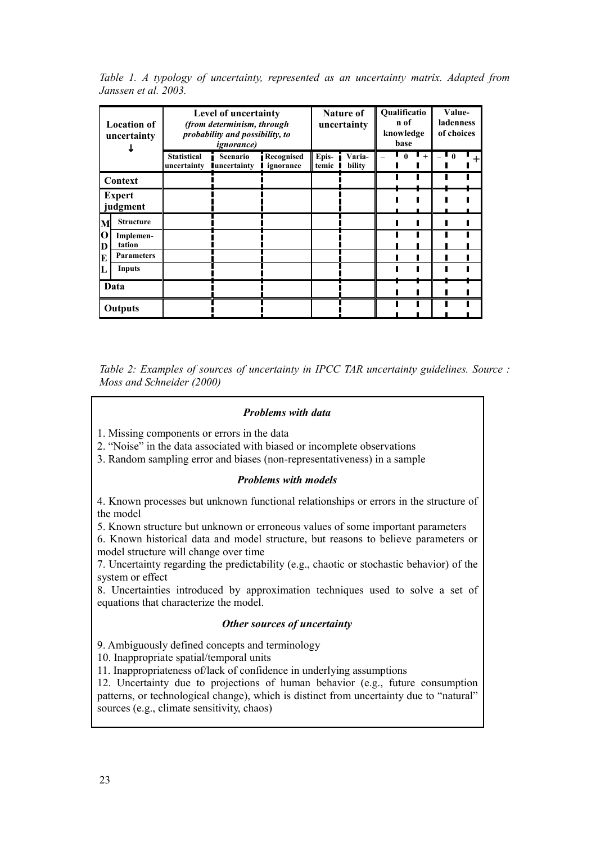*Table 1. A typology of uncertainty, represented as an uncertainty matrix. Adapted from Janssen et al. 2003.*

| <b>Location of</b><br>uncertainty |                     | Level of uncertainty<br>(from determinism, through<br>probability and possibility, to<br><i>ignorance</i> ) |                          |                         | <b>Nature of</b><br>uncertainty |                  | Qualificatio<br>n of<br>knowledge<br>base |   | Value-<br>ladenness<br>of choices |  |  |       |
|-----------------------------------|---------------------|-------------------------------------------------------------------------------------------------------------|--------------------------|-------------------------|---------------------------------|------------------|-------------------------------------------|---|-----------------------------------|--|--|-------|
|                                   |                     | <b>Statistical</b><br>uncertainty                                                                           | Scenario<br>luncertainty | Recognised<br>ignorance | Epis-<br>temic                  | Varia-<br>bility |                                           | 0 | $^{+}$                            |  |  | $\pm$ |
| Context                           |                     |                                                                                                             |                          |                         |                                 |                  |                                           |   |                                   |  |  |       |
| <b>Expert</b><br>judgment         |                     |                                                                                                             |                          |                         |                                 |                  |                                           |   |                                   |  |  |       |
| M                                 | <b>Structure</b>    |                                                                                                             |                          |                         |                                 |                  |                                           |   |                                   |  |  |       |
| О<br>D                            | Implemen-<br>tation |                                                                                                             |                          |                         |                                 |                  |                                           |   |                                   |  |  |       |
| E                                 | <b>Parameters</b>   |                                                                                                             |                          |                         |                                 |                  |                                           |   |                                   |  |  |       |
| L                                 | <b>Inputs</b>       |                                                                                                             |                          |                         |                                 |                  |                                           |   |                                   |  |  |       |
| Data                              |                     |                                                                                                             |                          |                         |                                 |                  |                                           |   |                                   |  |  |       |
| Outputs                           |                     |                                                                                                             |                          |                         |                                 |                  |                                           |   |                                   |  |  |       |

*Table 2: Examples of sources of uncertainty in IPCC TAR uncertainty guidelines. Source : Moss and Schneider (2000)*

### *Problems with data*

- 1. Missing components or errors in the data
- 2. "Noise" in the data associated with biased or incomplete observations
- 3. Random sampling error and biases (non-representativeness) in a sample

#### *Problems with models*

4. Known processes but unknown functional relationships or errors in the structure of the model

5. Known structure but unknown or erroneous values of some important parameters

6. Known historical data and model structure, but reasons to believe parameters or model structure will change over time

7. Uncertainty regarding the predictability (e.g., chaotic or stochastic behavior) of the system or effect

8. Uncertainties introduced by approximation techniques used to solve a set of equations that characterize the model.

### *Other sources of uncertainty*

9. Ambiguously defined concepts and terminology

10. Inappropriate spatial/temporal units

11. Inappropriateness of/lack of confidence in underlying assumptions

12. Uncertainty due to projections of human behavior (e.g., future consumption patterns, or technological change), which is distinct from uncertainty due to "natural" sources (e.g., climate sensitivity, chaos)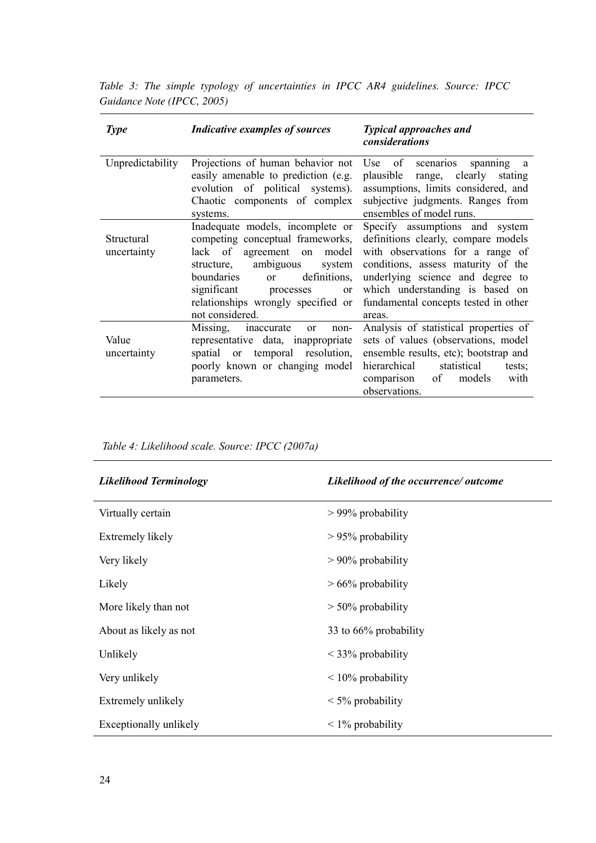*Table 3: The simple typology of uncertainties in IPCC AR4 guidelines. Source: IPCC Guidance Note (IPCC, 2005)*

| <b>Type</b>               | <b>Indicative examples of sources</b>                                                                                                                                                                                                                                                           | <b>Typical approaches and</b><br>considerations                                                                                                                                                                                                                          |
|---------------------------|-------------------------------------------------------------------------------------------------------------------------------------------------------------------------------------------------------------------------------------------------------------------------------------------------|--------------------------------------------------------------------------------------------------------------------------------------------------------------------------------------------------------------------------------------------------------------------------|
| Unpredictability          | Projections of human behavior not<br>easily amenable to prediction (e.g.<br>evolution of political systems).<br>Chaotic components of complex<br>systems.                                                                                                                                       | Use<br>of<br>scenarios<br>spanning<br><sub>a</sub><br>plausible<br>range, clearly<br>stating<br>assumptions, limits considered, and<br>subjective judgments. Ranges from<br>ensembles of model runs.                                                                     |
| Structural<br>uncertainty | Inadequate models, incomplete or<br>competing conceptual frameworks,<br>lack of agreement on<br>model<br>ambiguous<br>system<br>structure,<br>definitions,<br>boundaries<br><sub>or</sub><br>significant<br>processes<br><sub>or</sub><br>relationships wrongly specified or<br>not considered. | Specify assumptions and system<br>definitions clearly, compare models<br>with observations for a range of<br>conditions, assess maturity of the<br>underlying science and degree to<br>which understanding is based on<br>fundamental concepts tested in other<br>areas. |
| Value<br>uncertainty      | Missing,<br>inaccurate<br>non-<br><sub>or</sub><br>representative data, inappropriate<br>temporal resolution,<br>spatial or<br>poorly known or changing model<br>parameters.                                                                                                                    | Analysis of statistical properties of<br>sets of values (observations, model<br>ensemble results, etc); bootstrap and<br>hierarchical<br>statistical<br>tests;<br>of<br>comparison<br>models<br>with<br>observations.                                                    |

 *Table 4: Likelihood scale. Source: IPCC (2007a)*

| Likelihood Terminology | Likelihood of the occurrence/outcome |
|------------------------|--------------------------------------|
| Virtually certain      | $> 99\%$ probability                 |
| Extremely likely       | $> 95\%$ probability                 |
| Very likely            | $> 90\%$ probability                 |
| Likely                 | $>66\%$ probability                  |
| More likely than not   | $> 50\%$ probability                 |
| About as likely as not | 33 to 66% probability                |
| Unlikely               | $\leq$ 33% probability               |
| Very unlikely          | $\leq 10\%$ probability              |
| Extremely unlikely     | $\leq 5\%$ probability               |
| Exceptionally unlikely | $\leq$ 1% probability                |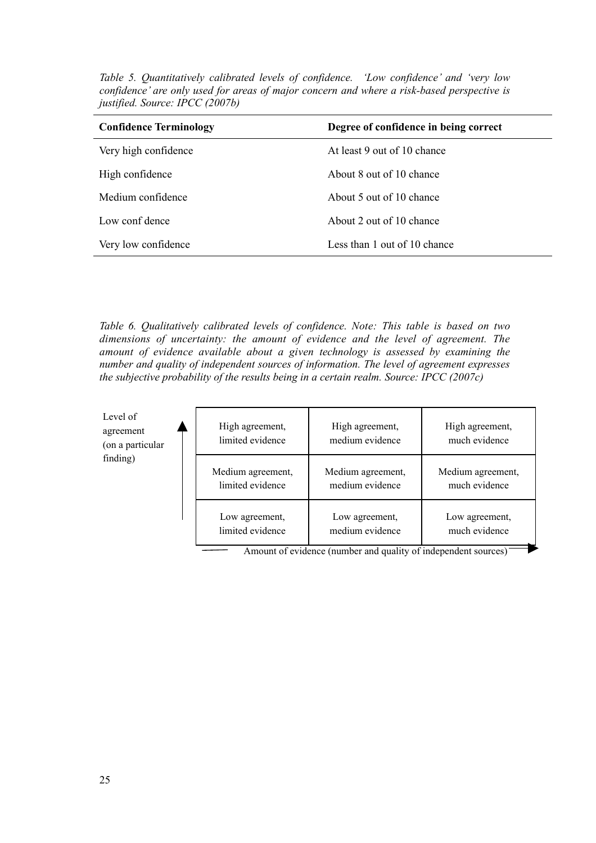*Table 5. Quantitatively calibrated levels of confidence. 'Low confidence' and 'very low confidence' are only used for areas of major concern and where a risk-based perspective is justified. Source: IPCC (2007b)*

| <b>Confidence Terminology</b> | Degree of confidence in being correct |  |  |  |
|-------------------------------|---------------------------------------|--|--|--|
| Very high confidence          | At least 9 out of 10 chance           |  |  |  |
| High confidence               | About 8 out of 10 chance              |  |  |  |
| Medium confidence             | About 5 out of 10 chance              |  |  |  |
| Low conf dence                | About 2 out of 10 chance              |  |  |  |
| Very low confidence           | Less than 1 out of 10 chance          |  |  |  |

*Table 6. Qualitatively calibrated levels of confidence. Note: This table is based on two dimensions of uncertainty: the amount of evidence and the level of agreement. The amount of evidence available about a given technology is assessed by examining the number and quality of independent sources of information. The level of agreement expresses the subjective probability of the results being in a certain realm. Source: IPCC (2007c)*

| Level of<br>agreement<br>(on a particular | High agreement,<br>High agreement,<br>limited evidence<br>medium evidence |                   | High agreement,<br>much evidence |  |  |
|-------------------------------------------|---------------------------------------------------------------------------|-------------------|----------------------------------|--|--|
| finding)                                  | Medium agreement,                                                         | Medium agreement, | Medium agreement,                |  |  |
|                                           | limited evidence                                                          | medium evidence   | much evidence                    |  |  |
|                                           | Low agreement,                                                            | Low agreement,    | Low agreement,                   |  |  |
|                                           | limited evidence                                                          | medium evidence   | much evidence                    |  |  |

Amount of evidence (number and quality of independent sources)

⋫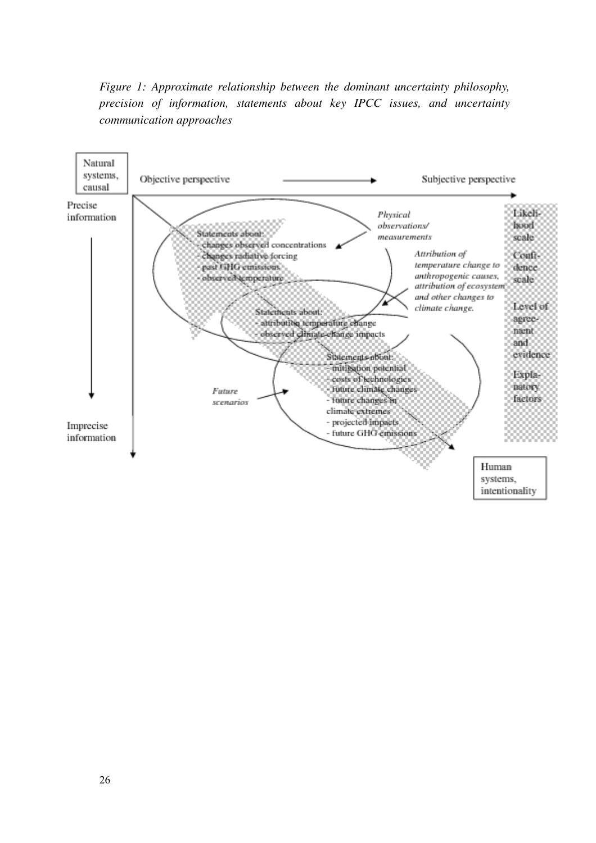*Figure 1: Approximate relationship between the dominant uncertainty philosophy, precision of information, statements about key IPCC issues, and uncertainty communication approaches*